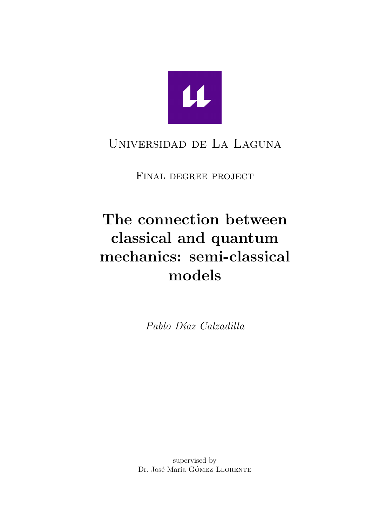

## Universidad de La Laguna

Final degree project

# The connection between classical and quantum mechanics: semi-classical models

Pablo Díaz Calzadilla

supervised by Dr. José María GÓMEZ LLORENTE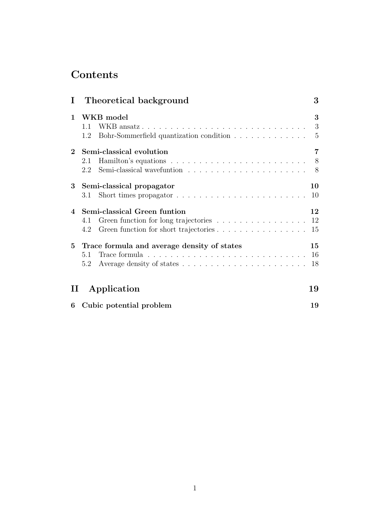## Contents

|                        | I Theoretical background                                                                                                                             | 3              |
|------------------------|------------------------------------------------------------------------------------------------------------------------------------------------------|----------------|
| $\mathbf{1}$           | WKB model<br>WKB ansatz<br>$\overline{\phantom{a}3}$<br>1.1<br>Bohr-Sommerfield quantization condition<br>1.2                                        | 3<br>$-5$      |
|                        | 2 Semi-classical evolution<br>Hamilton's equations $\ldots \ldots \ldots \ldots \ldots \ldots \ldots \ldots$<br>2.1                                  | $\overline{7}$ |
| $\bf{3}$               | Semi-classical propagator<br>Short times propagator $\ldots \ldots \ldots \ldots \ldots \ldots \ldots$<br>3.1                                        | 10<br>10       |
| 4                      | Semi-classical Green funtion<br>Green function for long trajectories 12<br>4.1<br>Green function for short trajectories<br>4.2                       | 12<br>15       |
|                        | 5 Trace formula and average density of states<br>Trace formula $\ldots \ldots \ldots \ldots \ldots \ldots \ldots \ldots \ldots \ldots$<br>5.1<br>5.2 | 15<br>18       |
| $\scriptstyle\rm II$ . | Application<br>19                                                                                                                                    |                |
|                        | 6 Cubic potential problem                                                                                                                            | 19             |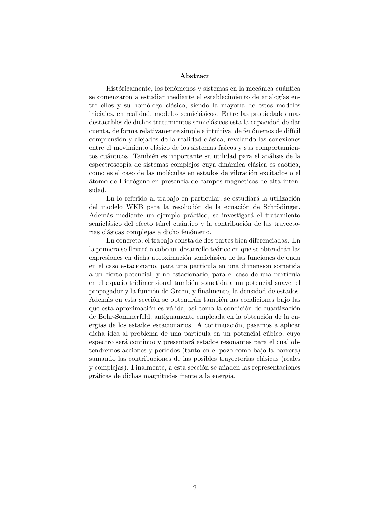#### Abstract

Históricamente, los fenómenos y sistemas en la mecánica cuántica se comenzaron a estudiar mediante el establecimiento de analogías entre ellos y su homólogo clásico, siendo la mayoría de estos modelos iniciales, en realidad, modelos semiclásicos. Entre las propiedades mas destacables de dichos tratamientos semiclásicos esta la capacidad de dar cuenta, de forma relativamente simple e intuitiva, de fenómenos de difícil comprensión y alejados de la realidad clásica, revelando las conexiones entre el movimiento clásico de los sistemas físicos y sus comportamientos cuánticos. También es importante su utilidad para el análisis de la espectroscopía de sistemas complejos cuya dinámica clásica es caótica, como es el caso de las moléculas en estados de vibración excitados o el átomo de Hidrógeno en presencia de campos magnéticos de alta intensidad.

En lo referido al trabajo en particular, se estudiará la utilización del modelo WKB para la resolución de la ecuación de Schrödinger. Además mediante un ejemplo práctico, se investigará el tratamiento semiclásico del efecto túnel cuántico y la contribución de las trayectorias clásicas complejas a dicho fenómeno.

En concreto, el trabajo consta de dos partes bien diferenciadas. En la primera se llevará a cabo un desarrollo teórico en que se obtendrán las expresiones en dicha aproximación semiclásica de las funciones de onda en el caso estacionario, para una partícula en una dimension sometida a un cierto potencial, y no estacionario, para el caso de una partícula en el espacio tridimensional también sometida a un potencial suave, el propagador y la función de Green, y finalmente, la densidad de estados. Además en esta sección se obtendrán también las condiciones bajo las que esta aproximación es válida, así como la condición de cuantización de Bohr-Sommerfeld, antiguamente empleada en la obtención de la energías de los estados estacionarios. A continuación, pasamos a aplicar dicha idea al problema de una partícula en un potencial cúbico, cuyo espectro será continuo y presentará estados resonantes para el cual obtendremos acciones y periodos (tanto en el pozo como bajo la barrera) sumando las contribuciones de las posibles trayectorias clásicas (reales y complejas). Finalmente, a esta sección se añaden las representaciones gráficas de dichas magnitudes frente a la energía.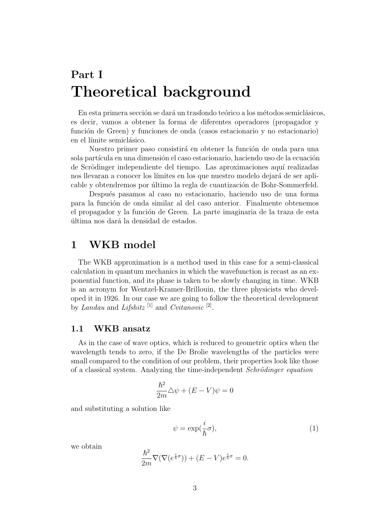## Part I Theoretical background

En esta primera sección se dará un trasfondo teórico a los métodos semiclásicos, es decir, vamos a obtener la forma de diferentes operadores (propagador y función de Green) y funciones de onda (casos estacionario y no estacionario) en el límite semiclásico.

Nuestro primer paso consistirá en obtener la función de onda para una sola partícula en una dimensión el caso estacionario, haciendo uso de la ecuación de Scrödinger independiente del tiempo. Las aproximaciones aquí realizadas nos llevaran a conocer los límites en los que nuestro modelo dejará de ser aplicable y obtendremos por último la regla de cuantización de Bohr-Sommerfeld.

Después pasamos al caso no estacionario, haciendo uso de una forma para la funci´on de onda similar al del caso anterior. Finalmente obtenemos el propagador y la función de Green. La parte imaginaria de la traza de esta última nos dará la densidad de estados.

### 1 WKB model

The WKB approximation is a method used in this case for a semi-classical calculation in quantum mechanics in which the wavefunction is recast as an exponential function, and its phase is taken to be slowly changing in time. WKB is an acronym for Wentzel-Kramer-Brillouin, the three physicists who developed it in 1926. In our case we are going to follow the theoretical development by Landau and Lifshitz<sup>[1]</sup> and Cvitanovic<sup>[2]</sup>.

#### 1.1 WKB ansatz

As in the case of wave optics, which is reduced to geometric optics when the wavelength tends to zero, if the De Brolie wavelengths of the particles were small compared to the condition of our problem, their properties look like those of a classical system. Analyzing the time-independent Schrödinger equation

$$
\frac{\hbar^2}{2m}\triangle\psi + (E - V)\psi = 0
$$

and substituting a solution like

$$
\psi = \exp(\frac{i}{\hbar}\sigma),\tag{1}
$$

we obtain

$$
\frac{\hbar^2}{2m}\nabla(\nabla(e^{\frac{i}{\hbar}\sigma})) + (E - V)e^{\frac{i}{\hbar}\sigma} = 0.
$$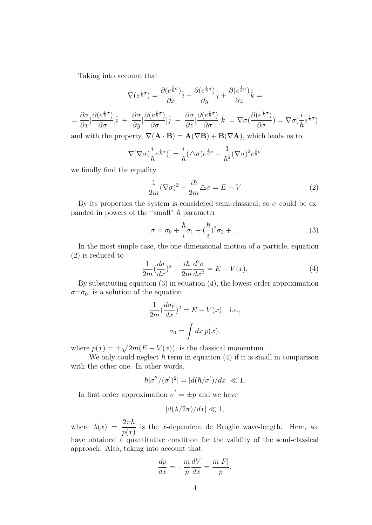Taking into account that

$$
\nabla(e^{\frac{i}{\hbar}\sigma}) = \frac{\partial(e^{\frac{i}{\hbar}\sigma})}{\partial x}\hat{i} + \frac{\partial(e^{\frac{i}{\hbar}\sigma})}{\partial y}\hat{j} + \frac{\partial(e^{\frac{i}{\hbar}\sigma})}{\partial z}\hat{k} =
$$
  

$$
= \frac{\partial\sigma}{\partial x}[\frac{\partial(e^{\frac{i}{\hbar}\sigma})}{\partial \sigma}]\hat{i} + \frac{\partial\sigma}{\partial y}[\frac{\partial(e^{\frac{i}{\hbar}\sigma})}{\partial \sigma}]\hat{j} + \frac{\partial\sigma}{\partial z}[\frac{\partial(e^{\frac{i}{\hbar}\sigma})}{\partial \sigma}]\hat{k} = \nabla\sigma(\frac{\partial(e^{\frac{i}{\hbar}\sigma})}{\partial \sigma}) = \nabla\sigma(\frac{i}{\hbar}e^{\frac{i}{\hbar}\sigma})
$$
  
and with the property,  $\nabla(\mathbf{A} \cdot \mathbf{B}) = \mathbf{A}(\nabla \mathbf{B}) + \mathbf{B}(\nabla \mathbf{A})$ , which leads us to

$$
\nabla[\nabla\sigma(\frac{i}{\hbar}e^{\frac{i}{\hbar}\sigma})]=\frac{i}{\hbar}(\triangle\sigma)e^{\frac{i}{\hbar}\sigma}-\frac{1}{\hbar^2}(\nabla\sigma)^2e^{\frac{i}{\hbar}\sigma}
$$

we finally find the equality

$$
\frac{1}{2m}(\nabla\sigma)^2 - \frac{i\hbar}{2m}\Delta\sigma = E - V
$$
 (2)

By its properties the system is considered semi-classical, so  $\sigma$  could be expanded in powers of the "small"  $\hbar$  parameter

$$
\sigma = \sigma_0 + \frac{\hbar}{i}\sigma_1 + (\frac{\hbar}{i})^2\sigma_2 + \dots \tag{3}
$$

In the most simple case, the one-dimensional motion of a particle, equation (2) is reduced to

$$
\frac{1}{2m}(\frac{d\sigma}{dx})^2 - \frac{i\hbar}{2m}\frac{d^2\sigma}{dx^2} = E - V(x).
$$
 (4)

By substituting equation (3) in equation (4), the lowest order approximation  $\sigma = \sigma_0$ , is a solution of the equation.

$$
\frac{1}{2m}(\frac{d\sigma_0}{dx})^2 = E - V(x), \text{ i.e.,}
$$

$$
\sigma_0 = \int dx \, p(x),
$$

where  $p(x) = \pm \sqrt{2m(E - V(x))}$ , is the classical momentum.

We only could neglect  $\hbar$  term in equation (4) if it is small in comparison with the other one. In other words,

$$
\hbar |\sigma''/(\sigma')^2| = |d(\hbar/\sigma')/dx| \ll 1.
$$

In first order approximation  $\sigma' = \pm p$  and we have

$$
|d(\lambda/2\pi)/dx| \ll 1,
$$

where  $\lambda(x) = \frac{2\pi\hbar}{\sqrt{2}}$  $p(x)$ is the  $x$ -dependent de Broglie wave-length. Here, we have obtained a quantitative condition for the validity of the semi-classical approach. Also, taking into account that

$$
\frac{dp}{dx} = -\frac{m}{p}\frac{dV}{dx} = \frac{m|F|}{p},
$$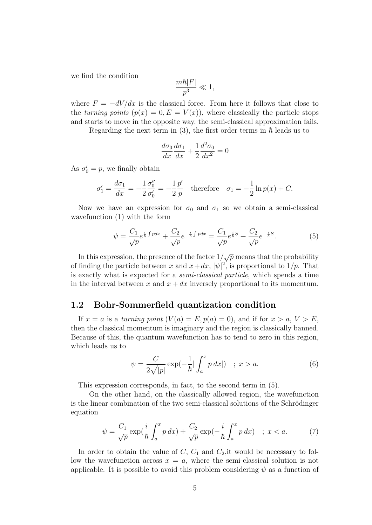we find the condition

$$
\frac{m\hbar|F|}{p^3}\ll 1,
$$

where  $F = -dV/dx$  is the classical force. From here it follows that close to the turning points  $(p(x) = 0, E = V(x))$ , where classically the particle stops and starts to move in the opposite way, the semi-classical approximation fails.

Regarding the next term in (3), the first order terms in  $\hbar$  leads us to

$$
\frac{d\sigma_0}{dx}\frac{d\sigma_1}{dx} + \frac{1}{2}\frac{d^2\sigma_0}{dx^2} = 0
$$

As  $\sigma'_0 = p$ , we finally obtain

$$
\sigma_1' = \frac{d\sigma_1}{dx} = -\frac{1}{2}\frac{\sigma_0''}{\sigma_0'} = -\frac{1}{2}\frac{p'}{p} \quad \text{therefore} \quad \sigma_1 = -\frac{1}{2}\ln p(x) + C.
$$

Now we have an expression for  $\sigma_0$  and  $\sigma_1$  so we obtain a semi-classical wavefunction (1) with the form

$$
\psi = \frac{C_1}{\sqrt{p}} e^{\frac{i}{\hbar} \int p dx} + \frac{C_2}{\sqrt{p}} e^{-\frac{i}{\hbar} \int p dx} = \frac{C_1}{\sqrt{p}} e^{\frac{i}{\hbar}S} + \frac{C_2}{\sqrt{p}} e^{-\frac{i}{\hbar}S}.
$$
(5)

In this expression, the presence of the factor  $1/\sqrt{p}$  means that the probability of finding the particle between x and  $x+dx$ ,  $|\psi|^2$ , is proportional to  $1/p$ . That is exactly what is expected for a semi-classical particle, which spends a time in the interval between x and  $x + dx$  inversely proportional to its momentum.

#### 1.2 Bohr-Sommerfield quantization condition

If  $x = a$  is a turning point  $(V(a) = E, p(a) = 0)$ , and if for  $x > a, V > E$ , then the classical momentum is imaginary and the region is classically banned. Because of this, the quantum wavefunction has to tend to zero in this region, which leads us to

$$
\psi = \frac{C}{2\sqrt{|p|}} \exp(-\frac{1}{\hbar} |\int_{a}^{x} p \, dx|) \quad ; \ x > a. \tag{6}
$$

This expression corresponds, in fact, to the second term in (5).

On the other hand, on the classically allowed region, the wavefunction is the linear combination of the two semi-classical solutions of the Schrödinger equation

$$
\psi = \frac{C_1}{\sqrt{p}} \exp(\frac{i}{\hbar} \int_a^x p \, dx) + \frac{C_2}{\sqrt{p}} \exp(-\frac{i}{\hbar} \int_a^x p \, dx) \quad ; \ x < a. \tag{7}
$$

In order to obtain the value of  $C, C_1$  and  $C_2$ , it would be necessary to follow the wavefunction across  $x = a$ , where the semi-classical solution is not applicable. It is possible to avoid this problem considering  $\psi$  as a function of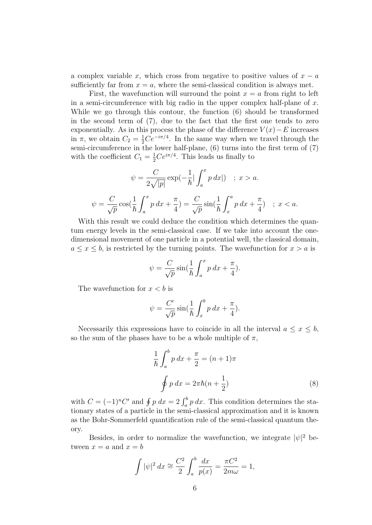a complex variable x, which cross from negative to positive values of  $x - a$ sufficiently far from  $x = a$ , where the semi-classical condition is always met.

First, the wavefunction will surround the point  $x = a$  from right to left in a semi-circumference with big radio in the upper complex half-plane of  $x$ . While we go through this contour, the function (6) should be transformed in the second term of (7), due to the fact that the first one tends to zero exponentially. As in this process the phase of the difference  $V(x) - E$  increases in  $\pi$ , we obtain  $C_2 = \frac{1}{2}Ce^{-i\pi/4}$ . In the same way when we travel through the semi-circumference in the lower half-plane,  $(6)$  turns into the first term of  $(7)$ with the coefficient  $C_1 = \frac{1}{2}Ce^{i\pi/4}$ . This leads us finally to

$$
\psi = \frac{C}{2\sqrt{|p|}} \exp(-\frac{1}{\hbar} |\int_a^x p \, dx|) \quad ; \ x > a.
$$

$$
\psi = \frac{C}{\sqrt{p}} \cos(\frac{1}{\hbar} \int_a^x p \, dx + \frac{\pi}{4}) = \frac{C}{\sqrt{p}} \sin(\frac{1}{\hbar} \int_x^a p \, dx + \frac{\pi}{4}) \quad ; \ x < a.
$$

With this result we could deduce the condition which determines the quantum energy levels in the semi-classical case. If we take into account the onedimensional movement of one particle in a potential well, the classical domain,  $a \leq x \leq b$ , is restricted by the turning points. The wavefunction for  $x > a$  is

$$
\psi = \frac{C}{\sqrt{p}} \sin\left(\frac{1}{\hbar} \int_a^x p \, dx + \frac{\pi}{4}\right).
$$

The wavefunction for  $x < b$  is

$$
\psi = \frac{C'}{\sqrt{p}} \sin\left(\frac{1}{\hbar} \int_x^b p \, dx + \frac{\pi}{4}\right).
$$

Necessarily this expressions have to coincide in all the interval  $a \leq x \leq b$ , so the sum of the phases have to be a whole multiple of  $\pi$ ,

$$
\frac{1}{\hbar} \int_{a}^{b} p \, dx + \frac{\pi}{2} = (n+1)\pi
$$
\n
$$
\oint p \, dx = 2\pi \hbar (n + \frac{1}{2})
$$
\n(8)

with  $C = (-1)^n C'$  and  $\oint p \, dx = 2 \int_a^b p \, dx$ . This condition determines the stationary states of a particle in the semi-classical approximation and it is known as the Bohr-Sommerfeld quantification rule of the semi-classical quantum theory.

Besides, in order to normalize the wavefunction, we integrate  $|\psi|^2$  between  $x = a$  and  $x = b$ 

$$
\int |\psi|^2 dx \cong \frac{C^2}{2} \int_a^b \frac{dx}{p(x)} = \frac{\pi C^2}{2m\omega} = 1,
$$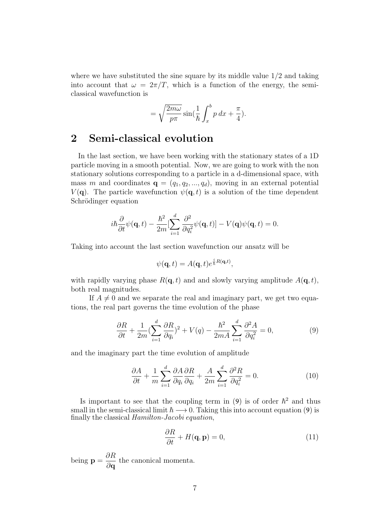where we have substituted the sine square by its middle value  $1/2$  and taking into account that  $\omega = 2\pi/T$ , which is a function of the energy, the semiclassical wavefunction is

$$
= \sqrt{\frac{2m\omega}{p\pi}} \sin\left(\frac{1}{\hbar} \int_x^b p \, dx + \frac{\pi}{4}\right).
$$

## 2 Semi-classical evolution

In the last section, we have been working with the stationary states of a 1D particle moving in a smooth potential. Now, we are going to work with the non stationary solutions corresponding to a particle in a d-dimensional space, with mass m and coordinates  $\mathbf{q} = (q_1, q_2, ..., q_d)$ , moving in an external potential  $V(\mathbf{q})$ . The particle wavefunction  $\psi(\mathbf{q},t)$  is a solution of the time dependent Schrödinger equation

$$
i\hbar\frac{\partial}{\partial t}\psi(\mathbf{q},t) - \frac{\hbar^2}{2m}[\sum_{i=1}^d\frac{\partial^2}{\partial q_i^2}\psi(\mathbf{q},t)] - V(\mathbf{q})\psi(\mathbf{q},t) = 0.
$$

Taking into account the last section wavefunction our ansatz will be

$$
\psi(\mathbf{q},t) = A(\mathbf{q},t)e^{\frac{i}{\hbar}R(\mathbf{q},t)},
$$

with rapidly varying phase  $R(\mathbf{q}, t)$  and and slowly varying amplitude  $A(\mathbf{q}, t)$ , both real magnitudes.

If  $A \neq 0$  and we separate the real and imaginary part, we get two equations, the real part governs the time evolution of the phase

$$
\frac{\partial R}{\partial t} + \frac{1}{2m} \left( \sum_{i=1}^d \frac{\partial R}{\partial q_i} \right)^2 + V(q) - \frac{\hbar^2}{2mA} \sum_{i=1}^d \frac{\partial^2 A}{\partial q_i^2} = 0,\tag{9}
$$

and the imaginary part the time evolution of amplitude

$$
\frac{\partial A}{\partial t} + \frac{1}{m} \sum_{i=1}^{d} \frac{\partial A}{\partial q_i} \frac{\partial R}{\partial q_i} + \frac{A}{2m} \sum_{i=1}^{d} \frac{\partial^2 R}{\partial q_i^2} = 0.
$$
 (10)

Is important to see that the coupling term in (9) is of order  $\hbar^2$  and thus small in the semi-classical limit  $\hbar \longrightarrow 0$ . Taking this into account equation (9) is finally the classical Hamilton-Jacobi equation,

$$
\frac{\partial R}{\partial t} + H(\mathbf{q}, \mathbf{p}) = 0,\tag{11}
$$

being  $\mathbf{p} =$ ∂R ∂q the canonical momenta.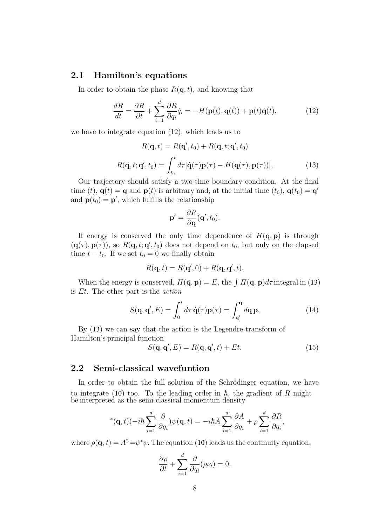#### 2.1 Hamilton's equations

In order to obtain the phase  $R(\mathbf{q}, t)$ , and knowing that

$$
\frac{dR}{dt} = \frac{\partial R}{\partial t} + \sum_{i=1}^{d} \frac{\partial R}{\partial q_i} \dot{q}_i = -H(\mathbf{p}(t), \mathbf{q}(t)) + \mathbf{p}(t)\dot{\mathbf{q}}(t),\tag{12}
$$

we have to integrate equation (12), which leads us to

$$
R(\mathbf{q},t) = R(\mathbf{q}',t_0) + R(\mathbf{q},t;\mathbf{q}',t_0)
$$

$$
R(\mathbf{q},t;\mathbf{q}',t_0) = \int_{t_0}^t d\tau [\dot{\mathbf{q}}(\tau)\mathbf{p}(\tau) - H(\mathbf{q}(\tau),\mathbf{p}(\tau))],
$$
(13)

Our trajectory should satisfy a two-time boundary condition. At the final time (t),  $\mathbf{q}(t) = \mathbf{q}$  and  $\mathbf{p}(t)$  is arbitrary and, at the initial time  $(t_0)$ ,  $\mathbf{q}(t_0) = \mathbf{q}'$ and  $\mathbf{p}(t_0) = \mathbf{p}'$ , which fulfills the relationship

$$
\mathbf{p}' = \frac{\partial R}{\partial \mathbf{q}}(\mathbf{q}', t_0).
$$

If energy is conserved the only time dependence of  $H(\mathbf{q}, \mathbf{p})$  is through  $(q(\tau), p(\tau))$ , so  $R(\mathbf{q}, t; \mathbf{q}', t_0)$  does not depend on  $t_0$ , but only on the elapsed time  $t - t_0$ . If we set  $t_0 = 0$  we finally obtain

$$
R(\mathbf{q},t) = R(\mathbf{q}',0) + R(\mathbf{q},\mathbf{q}',t).
$$

When the energy is conserved,  $H(\mathbf{q}, \mathbf{p}) = E$ , the  $\int H(\mathbf{q}, \mathbf{p})d\tau$  integral in (13) is Et. The other part is the action

$$
S(\mathbf{q}, \mathbf{q}', E) = \int_0^t d\tau \, \dot{\mathbf{q}}(\tau) \mathbf{p}(\tau) = \int_{\mathbf{q}'}^{\mathbf{q}} d\mathbf{q} \, \mathbf{p}.\tag{14}
$$

By (13) we can say that the action is the Legendre transform of Hamilton's principal function

$$
S(\mathbf{q}, \mathbf{q}', E) = R(\mathbf{q}, \mathbf{q}', t) + Et.
$$
 (15)

### 2.2 Semi-classical wavefuntion

In order to obtain the full solution of the Schrödinger equation, we have to integrate (10) too. To the leading order in  $\hbar$ , the gradient of R might be interpreted as the semi-classical momentum density

$$
{}^{*}(\mathbf{q},t)(-i\hbar\sum_{i=1}^{d}\frac{\partial}{\partial q_{i}})\psi(\mathbf{q},t)=-i\hbar A\sum_{i=1}^{d}\frac{\partial A}{\partial q_{i}}+\rho\sum_{i=1}^{d}\frac{\partial R}{\partial q_{i}},
$$

where  $\rho(\mathbf{q}, t) = A^2 = \psi^* \psi$ . The equation (10) leads us the continuity equation,

$$
\frac{\partial \rho}{\partial t} + \sum_{i=1}^{d} \frac{\partial}{\partial q_i} (\rho \nu_i) = 0.
$$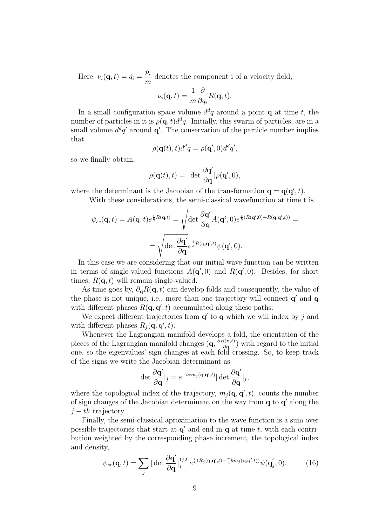Here,  $\nu_i(\mathbf{q}, t) = \dot{q}_i =$  $p_i$ m denotes the component i of a velocity field,

$$
\nu_i(\mathbf{q},t) = \frac{1}{m} \frac{\partial}{\partial q_i} R(\mathbf{q},t).
$$

In a small configuration space volume  $d^dq$  around a point **q** at time t, the number of particles in it is  $\rho(\mathbf{q}, t) d^d q$ . Initially, this swarm of particles, are in a small volume  $d^dq'$  around  $\mathbf{q}'$ . The conservation of the particle number implies that

$$
\rho(\mathbf{q}(t),t)d^dq = \rho(\mathbf{q}',0)d^dq',
$$

so we finally obtain,

$$
\rho(\mathbf{q}(t),t)=|\det\frac{\partial\mathbf{q'}}{\partial\mathbf{q}}|\rho(\mathbf{q}',0),
$$

where the determinant is the Jacobian of the transformation  $\mathbf{q} = \mathbf{q}(\mathbf{q}', t)$ .

With these considerations, the semi-classical wavefunction at time t is

$$
\psi_{sc}(\mathbf{q},t) = A(\mathbf{q},t)e^{\frac{i}{\hbar}R(\mathbf{q},t)} = \sqrt{\det \frac{\partial \mathbf{q}'}{\partial \mathbf{q}}} A(\mathbf{q}',0)e^{\frac{i}{\hbar}(R(\mathbf{q}',0) + R(\mathbf{q},\mathbf{q}',t))} =
$$

$$
= \sqrt{\det \frac{\partial \mathbf{q}'}{\partial \mathbf{q}}}e^{\frac{i}{\hbar}R(\mathbf{q},\mathbf{q}',t)}\psi(\mathbf{q}',0).
$$

In this case we are considering that our initial wave function can be written in terms of single-valued functions  $A(q', 0)$  and  $R(q', 0)$ . Besides, for short times,  $R(\mathbf{q}, t)$  will remain single-valued.

As time goes by,  $\partial_{\mathbf{q}}R(\mathbf{q},t)$  can develop folds and consequently, the value of the phase is not unique, i.e., more than one trajectory will connect  $\mathbf{q}'$  and  $\mathbf{q}$ with different phases  $R(\mathbf{q}, \mathbf{q}', t)$  accumulated along these paths.

We expect different trajectories from  $\mathbf{q}'$  to  $\mathbf{q}$  which we will index by j and with different phases  $R_j(\mathbf{q}, \mathbf{q}', t)$ .

Whenever the Lagrangian manifold develops a fold, the orientation of the pieces of the Lagrangian manifold changes  $(q, \frac{\partial R(q,t)}{\partial q})$  $\frac{\partial(\mathbf{q},t)}{\partial \mathbf{q}}$  with regard to the initial one, so the eigenvalues' sign changes at each fold crossing. So, to keep track of the signs we write the Jacobian determinant as

$$
\det \frac{\partial \mathbf{q'}}{\partial \mathbf{q}}|_{j} = e^{-i\pi m_{j}(\mathbf{q}, \mathbf{q'},t)} |\det \frac{\partial \mathbf{q'}}{\partial \mathbf{q}}|_{j},
$$

where the topological index of the trajectory,  $m_j(\mathbf{q}, \mathbf{q}', t)$ , counts the number of sign changes of the Jacobian determinant on the way from  $q$  to  $q'$  along the  $j - th$  trajectory.

Finally, the semi-classical aproximation to the wave function is a sum over possible trajectories that start at  $q'$  and end in  $q$  at time t, with each contribution weighted by the corresponding phase increment, the topological index and density,

$$
\psi_{sc}(\mathbf{q},t) = \sum_j |\det \frac{\partial \mathbf{q}'}{\partial \mathbf{q}}|_j^{1/2} e^{\frac{i}{\hbar}(R_j(\mathbf{q},\mathbf{q}',t) - \frac{\pi}{2}\hbar m_j(\mathbf{q},\mathbf{q}',t))} \psi(\mathbf{q}'_j,0). \tag{16}
$$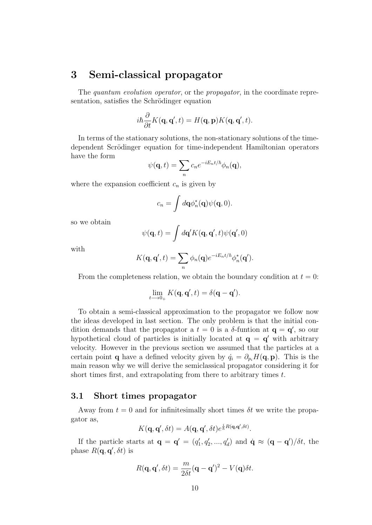## 3 Semi-classical propagator

The *quantum evolution operator*, or the *propagator*, in the coordinate representation, satisfies the Schrödinger equation

$$
i\hbar \frac{\partial}{\partial t} K(\mathbf{q}, \mathbf{q}', t) = H(\mathbf{q}, \mathbf{p}) K(\mathbf{q}, \mathbf{q}', t).
$$

In terms of the stationary solutions, the non-stationary solutions of the timedependent Scrödinger equation for time-independent Hamiltonian operators have the form

$$
\psi(\mathbf{q},t)=\sum_{n}c_{n}e^{-iE_{n}t/\hbar}\phi_{n}(\mathbf{q}),
$$

where the expansion coefficient  $c_n$  is given by

$$
c_n = \int d\mathbf{q} \phi_n^*(\mathbf{q}) \psi(\mathbf{q}, 0).
$$

so we obtain

$$
\psi(\mathbf{q},t) = \int d\mathbf{q}' K(\mathbf{q},\mathbf{q}',t)\psi(\mathbf{q}',0)
$$

with

$$
K(\mathbf{q}, \mathbf{q}', t) = \sum_{n} \phi_n(\mathbf{q}) e^{-iE_n t/\hbar} \phi_n^*(\mathbf{q}').
$$

From the completeness relation, we obtain the boundary condition at  $t = 0$ :

$$
\lim_{t \to 0_+} K(\mathbf{q}, \mathbf{q}', t) = \delta(\mathbf{q} - \mathbf{q}').
$$

To obtain a semi-classical approximation to the propagator we follow now the ideas developed in last section. The only problem is that the initial condition demands that the propagator a  $t = 0$  is a  $\delta$ -funtion at  $\mathbf{q} = \mathbf{q}'$ , so our hypothetical cloud of particles is initially located at  $\mathbf{q} = \mathbf{q}'$  with arbitrary velocity. However in the previous section we assumed that the particles at a certain point **q** have a defined velocity given by  $\dot{q}_i = \partial_{p_i}H(\mathbf{q}, \mathbf{p})$ . This is the main reason why we will derive the semiclassical propagator considering it for short times first, and extrapolating from there to arbitrary times t.

#### 3.1 Short times propagator

Away from  $t = 0$  and for infinitesimally short times  $\delta t$  we write the propagator as,

$$
K(\mathbf{q}, \mathbf{q}', \delta t) = A(\mathbf{q}, \mathbf{q}', \delta t) e^{\frac{i}{\hbar}R(\mathbf{q}, \mathbf{q}', \delta t)}.
$$

If the particle starts at  $\mathbf{q} = \mathbf{q}' = (q'_1, q'_2, ..., q'_d)$  and  $\dot{\mathbf{q}} \approx (\mathbf{q} - \mathbf{q}')/\delta t$ , the phase  $R(\mathbf{q}, \mathbf{q}', \delta t)$  is

$$
R(\mathbf{q}, \mathbf{q}', \delta t) = \frac{m}{2\delta t} (\mathbf{q} - \mathbf{q}')^2 - V(\mathbf{q}) \delta t.
$$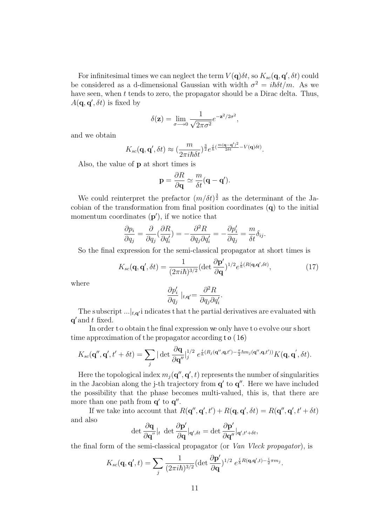For infinitesimal times we can neglect the term  $V(\mathbf{q})\delta t$ , so  $K_{sc}(\mathbf{q}, \mathbf{q}', \delta t)$  could be considered as a d-dimensional Gaussian with width  $\sigma^2 = i\hbar \delta t/m$ . As we have seen, when t tends to zero, the propagator should be a Dirac delta. Thus,  $A(\mathbf{q}, \mathbf{q}', \delta t)$  is fixed by

$$
\delta(\mathbf{z}) = \lim_{\sigma \to 0} \frac{1}{\sqrt{2\pi\sigma^2}} e^{-\mathbf{z}^2/2\sigma^2},
$$

and we obtain

$$
K_{sc}(\mathbf{q},\mathbf{q}',\delta t) \approx (\frac{m}{2\pi i\hbar \delta t})^{\frac{3}{2}}e^{\frac{i}{\hbar}(\frac{m(\mathbf{q}-\mathbf{q}')^2}{2\delta t}-V(\mathbf{q})\delta t)}.
$$

Also, the value of p at short times is

$$
\mathbf{p} = \frac{\partial R}{\partial \mathbf{q}} \simeq \frac{m}{\delta t} (\mathbf{q} - \mathbf{q}').
$$

We could reinterpret the prefactor  $(m/\delta t)^{\frac{3}{2}}$  as the determinant of the Jacobian of the transformation from final position coordinates (q) to the initial momentum coordinates  $(p')$ , if we notice that

$$
\frac{\partial p_i}{\partial q_j} = \frac{\partial}{\partial q_j} \left( \frac{\partial R}{\partial q'_i} \right) = -\frac{\partial^2 R}{\partial q_j \partial q'_i} = -\frac{\partial p'_i}{\partial q_j} = \frac{m}{\delta t} \delta_{ij}.
$$

So the final expression for the semi-classical propagator at short times is

$$
K_{sc}(\mathbf{q}, \mathbf{q}', \delta t) = \frac{1}{(2\pi i\hbar)^{3/2}} (\det \frac{\partial \mathbf{p}'}{\partial \mathbf{q}})^{1/2} e^{\frac{i}{\hbar}(R(\mathbf{q}, \mathbf{q}', \delta t)}, \tag{17}
$$

where

$$
\frac{\partial p'_i}{\partial q_j}\mid_{t,\mathbf{q}'}=\frac{\partial^2 R}{\partial q_j\partial q'_i}.
$$

The subscript  $\ldots|_{t,\mathbf{q}'}$  i ndicates that the partial derivatives are evaluated with  $\mathbf{q}'$  and  $t$  fixed.

In order to obtain the final expression we only have to evolve our short time approximation of t he propagator according t o (16)

$$
K_{sc}(\mathbf{q}'',\mathbf{q}',t'+\delta t) = \sum_j |\det \frac{\partial \mathbf{q}}{\partial \mathbf{q}''}|_j^{1/2} e^{\frac{i}{\hbar}(R_j(\mathbf{q}'',\mathbf{q},t')-\frac{\pi}{2}\hbar m_j(\mathbf{q}'',\mathbf{q},t'))} K(\mathbf{q},\mathbf{q}',\delta t).
$$

Here the topological index  $m_j(\mathbf{q}'', \mathbf{q}', t)$  represents the number of singularities in the Jacobian along the j-th trajectory from  $\mathbf{q}'$  to  $\mathbf{q}''$ . Here we have included the possibility that the phase becomes multi-valued, this is, that there are more than one path from  $q'$  to  $q''$ .

If we take into account that  $R(\mathbf{q}'', \mathbf{q}', t') + R(\mathbf{q}, \mathbf{q}', \delta t) = R(\mathbf{q}'', \mathbf{q}', t' + \delta t)$ and also

$$
\det\frac{\partial \mathbf{q}}{\partial \mathbf{q}^{''}}|_{t}\, \det\frac{\partial \mathbf{p}'}{\partial \mathbf{q}}|_{\mathbf{q}',\delta t}=\det\frac{\partial \mathbf{p}'}{\partial \mathbf{q}''}|_{\mathbf{q}',t'+\delta t},
$$

the final form of the semi-classical propagator (or Van Vleck propagator), is

$$
K_{sc}(\mathbf{q}, \mathbf{q}', t) = \sum_j \frac{1}{(2\pi i\hbar)^{3/2}} (\det \frac{\partial \mathbf{p}'}{\partial \mathbf{q}})^{1/2} e^{\frac{i}{\hbar}R(\mathbf{q}, \mathbf{q}', t) - \frac{i}{2}\pi m_j}.
$$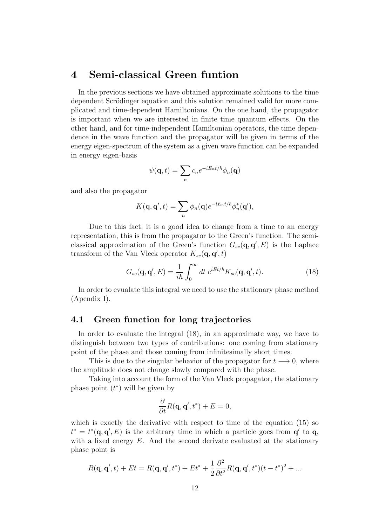### 4 Semi-classical Green funtion

In the previous sections we have obtained approximate solutions to the time dependent Scrödinger equation and this solution remained valid for more complicated and time-dependent Hamiltonians. On the one hand, the propagator is important when we are interested in finite time quantum effects. On the other hand, and for time-independent Hamiltonian operators, the time dependence in the wave function and the propagator will be given in terms of the energy eigen-spectrum of the system as a given wave function can be expanded in energy eigen-basis

$$
\psi(\mathbf{q},t) = \sum_{n} c_n e^{-iE_n t/\hbar} \phi_n(\mathbf{q})
$$

and also the propagator

$$
K(\mathbf{q}, \mathbf{q}', t) = \sum_{n} \phi_n(\mathbf{q}) e^{-iE_n t/\hbar} \phi_n^*(\mathbf{q}'),
$$

Due to this fact, it is a good idea to change from a time to an energy representation, this is from the propagator to the Green's function. The semiclassical approximation of the Green's function  $G_{sc}(\mathbf{q}, \mathbf{q}', E)$  is the Laplace transform of the Van Vleck operator  $K_{sc}(\mathbf{q}, \mathbf{q}', t)$ 

$$
G_{sc}(\mathbf{q}, \mathbf{q}', E) = \frac{1}{i\hbar} \int_0^\infty dt \ e^{iEt/\hbar} K_{sc}(\mathbf{q}, \mathbf{q}', t). \tag{18}
$$

In order to evualate this integral we need to use the stationary phase method (Apendix I).

#### 4.1 Green function for long trajectories

In order to evaluate the integral (18), in an approximate way, we have to distinguish between two types of contributions: one coming from stationary point of the phase and those coming from infinitesimally short times.

This is due to the singular behavior of the propagator for  $t \rightarrow 0$ , where the amplitude does not change slowly compared with the phase.

Taking into account the form of the Van Vleck propagator, the stationary phase point  $(t^*)$  will be given by

$$
\frac{\partial}{\partial t}R(\mathbf{q}, \mathbf{q}', t^*) + E = 0,
$$

which is exactly the derivative with respect to time of the equation  $(15)$  so  $t^* = t^*(\mathbf{q}, \mathbf{q}', E)$  is the arbitrary time in which a particle goes from  $\mathbf{q}'$  to  $\mathbf{q}$ , with a fixed energy  $E$ . And the second derivate evaluated at the stationary phase point is

$$
R(\mathbf{q}, \mathbf{q}', t) + Et = R(\mathbf{q}, \mathbf{q}', t^*) + Et^* + \frac{1}{2} \frac{\partial^2}{\partial t^2} R(\mathbf{q}, \mathbf{q}', t^*) (t - t^*)^2 + \dots
$$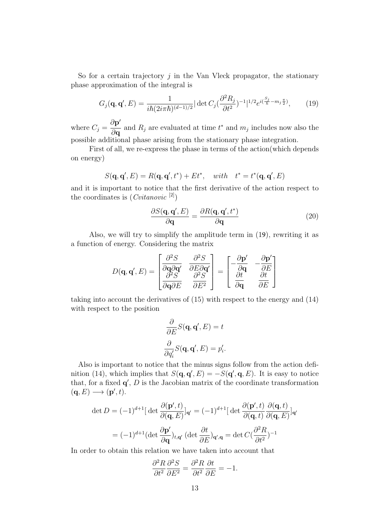So for a certain trajectory  $j$  in the Van Vleck propagator, the stationary phase approximation of the integral is

$$
G_j(\mathbf{q}, \mathbf{q}', E) = \frac{1}{i\hbar (2i\pi\hbar)^{(d-1)/2}} |\det C_j (\frac{\partial^2 R_j}{\partial t^2})^{-1}|^{1/2} e^{i(\frac{S_j}{\hbar} - m_j \frac{\pi}{2})},\qquad(19)
$$

where  $C_j =$  $\partial \mathbf{p}'$  $\frac{\partial \mathbf{p}}{\partial \mathbf{q}}$  and  $R_j$  are evaluated at time  $t^*$  and  $m_j$  includes now also the possible additional phase arising from the stationary phase integration.

First of all, we re-express the phase in terms of the action(which depends on energy)

$$
S(\mathbf{q}, \mathbf{q}', E) = R(\mathbf{q}, \mathbf{q}', t^*) + Et^*, \quad with \quad t^* = t^*(\mathbf{q}, \mathbf{q}', E)
$$

and it is important to notice that the first derivative of the action respect to the coordinates is  $(Cvitanovic<sup>[2]</sup>)$ 

$$
\frac{\partial S(\mathbf{q}, \mathbf{q}', E)}{\partial \mathbf{q}} = \frac{\partial R(\mathbf{q}, \mathbf{q}', t^*)}{\partial \mathbf{q}} \tag{20}
$$

Also, we will try to simplify the amplitude term in (19), rewriting it as a function of energy. Considering the matrix

$$
D(\mathbf{q}, \mathbf{q}', E) = \begin{bmatrix} \frac{\partial^2 S}{\partial \mathbf{q} \partial \mathbf{q}'} & \frac{\partial^2 S}{\partial E \partial \mathbf{q}'}\\ \frac{\partial^2 S}{\partial \mathbf{q} \partial E} & \frac{\partial^2 S}{\partial E^2} \end{bmatrix} = \begin{bmatrix} -\frac{\partial \mathbf{p}'}{\partial \mathbf{q}} & -\frac{\partial \mathbf{p}'}{\partial E} \\ \frac{\partial \mathbf{t}}{\partial \mathbf{q}} & \frac{\partial \mathbf{t}}{\partial E} \end{bmatrix}
$$

taking into account the derivatives of (15) with respect to the energy and (14) with respect to the position

$$
\frac{\partial}{\partial E}S(\mathbf{q}, \mathbf{q}', E) = t
$$

$$
\frac{\partial}{\partial q'_i}S(\mathbf{q}, \mathbf{q}', E) = p'_i.
$$

Also is important to notice that the minus signs follow from the action definition (14), which implies that  $S(\mathbf{q}, \mathbf{q}', E) = -S(\mathbf{q}', \mathbf{q}, E)$ . It is easy to notice that, for a fixed  $\mathbf{q}'$ ,  $D$  is the Jacobian matrix of the coordinate transformation  $(\mathbf{q}, E) \longrightarrow (\mathbf{p}', t).$ 

$$
\det D = (-1)^{d+1} [\det \frac{\partial (\mathbf{p}', t)}{\partial (\mathbf{q}, E)}]_{\mathbf{q}'} = (-1)^{d+1} [\det \frac{\partial (\mathbf{p}', t)}{\partial (\mathbf{q}, t)} \frac{\partial (\mathbf{q}, t)}{\partial (\mathbf{q}, E)}]_{\mathbf{q}'}
$$

$$
= (-1)^{d+1} (\det \frac{\partial \mathbf{p}'}{\partial \mathbf{q}})_{t, \mathbf{q}'} (\det \frac{\partial t}{\partial E})_{\mathbf{q}', \mathbf{q}} = \det C \left(\frac{\partial^2 R}{\partial t^2}\right)^{-1}
$$

In order to obtain this relation we have taken into account that

$$
\frac{\partial^2 R}{\partial t^2} \frac{\partial^2 S}{\partial E^2} = \frac{\partial^2 R}{\partial t^2} \frac{\partial t}{\partial E} = -1.
$$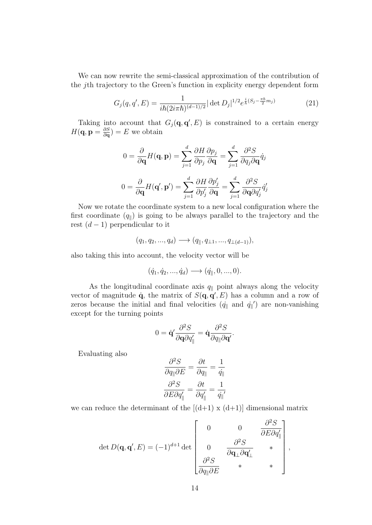We can now rewrite the semi-classical approximation of the contribution of the jth trajectory to the Green's function in explicity energy dependent form

$$
G_j(q, q', E) = \frac{1}{i\hbar (2i\pi\hbar)^{(d-1)/2}} |\det D_j|^{1/2} e^{\frac{i}{\hbar}(S_j - \frac{\pi\hbar}{2}m_j)} \tag{21}
$$

Taking into account that  $G_j(\mathbf{q}, \mathbf{q}', E)$  is constrained to a certain energy  $H(\mathbf{q}, \mathbf{p} = \frac{\partial S}{\partial \mathbf{q}})$  $\frac{\partial S}{\partial \mathbf{q}}$ ) = E we obtain

$$
0 = \frac{\partial}{\partial \mathbf{q}} H(\mathbf{q}, \mathbf{p}) = \sum_{j=1}^{d} \frac{\partial H}{\partial p_j} \frac{\partial p_j}{\partial \mathbf{q}} = \sum_{j=1}^{d} \frac{\partial^2 S}{\partial q_j \partial \mathbf{q}} \dot{q}_j
$$

$$
0 = \frac{\partial}{\partial \mathbf{q}} H(\mathbf{q}', \mathbf{p}') = \sum_{j=1}^{d} \frac{\partial H}{\partial p'_j} \frac{\partial p'_j}{\partial \mathbf{q}} = \sum_{j=1}^{d} \frac{\partial^2 S}{\partial \mathbf{q} \partial q'_j} \dot{q}'_j
$$

Now we rotate the coordinate system to a new local configuration where the first coordinate  $(q_{\parallel})$  is going to be always parallel to the trajectory and the rest  $(d-1)$  perpendicular to it

$$
(q_1, q_2, ..., q_d) \longrightarrow (q_{\parallel}, q_{\perp 1}, ..., q_{\perp (d-1)}),
$$

also taking this into account, the velocity vector will be

$$
(\dot{q}_1, \dot{q}_2, ..., \dot{q}_d) \longrightarrow (\dot{q}_{\parallel}, 0, ..., 0).
$$

As the longitudinal coordinate axis  $q_{\parallel}$  point always along the velocity vector of magnitude  $\dot{\mathbf{q}}$ , the matrix of  $S(\mathbf{q}, \mathbf{q}', E)$  has a column and a row of zeros because the initial and final velocities  $(\dot{q}_{\parallel} \text{ and } \dot{q}_{\parallel}')$  are non-vanishing except for the turning points

$$
0 = \dot{\mathbf{q}}' \frac{\partial^2 S}{\partial \mathbf{q} \partial q'_{\parallel}} = \dot{\mathbf{q}} \frac{\partial^2 S}{\partial q_{\parallel} \partial \mathbf{q'}}.
$$

Evaluating also

$$
\frac{\partial^2 S}{\partial q_{\parallel} \partial E} = \frac{\partial t}{\partial q_{\parallel}} = \frac{1}{\dot{q}_{\parallel}}
$$

$$
\frac{\partial^2 S}{\partial E \partial q'_{\parallel}} = \frac{\partial t}{\partial q'_{\parallel}} = \frac{1}{\dot{q}_{\parallel}'}
$$

we can reduce the determinant of the  $[(d+1) \times (d+1)]$  dimensional matrix

$$
\det D(\mathbf{q}, \mathbf{q}', E) = (-1)^{d+1} \det \begin{bmatrix} 0 & 0 & \frac{\partial^2 S}{\partial E \partial q'_\parallel} \\ 0 & \frac{\partial^2 S}{\partial \mathbf{q}_\perp \partial \mathbf{q}'_\perp} & * \\ \frac{\partial^2 S}{\partial q_\parallel \partial E} & * & * \end{bmatrix}
$$

,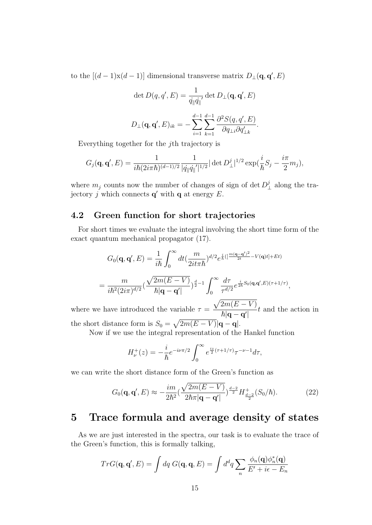to the  $[(d-1)x(d-1)]$  dimensional transverse matrix  $D_{\perp}(\mathbf{q}, \mathbf{q}', E)$ 

$$
\det D(q, q', E) = \frac{1}{\dot{q}_{\parallel} \dot{q}_{\parallel}'} \det D_{\perp}(\mathbf{q}, \mathbf{q}', E)
$$

$$
D_{\perp}(\mathbf{q}, \mathbf{q}', E)_{ik} = -\sum_{i=1}^{d-1} \sum_{k=1}^{d-1} \frac{\partial^2 S(q, q', E)}{\partial q_{\perp i} \partial q'_{\perp k}}.
$$

Everything together for the jth trajectory is

$$
G_j(\mathbf{q}, \mathbf{q}', E) = \frac{1}{i\hbar (2i\pi\hbar)^{(d-1)/2}} \frac{1}{|\dot{q}_{\parallel} \dot{q}_{\parallel}'|^{1/2}} |\det D^j_{\perp}|^{1/2} \exp(\frac{i}{\hbar} S_j - \frac{i\pi}{2} m_j),
$$

where  $m_j$  counts now the number of changes of sign of det  $D_j^j$  $\frac{1}{\perp}$  along the trajectory j which connects  $\mathbf{q}'$  with  $\mathbf{q}$  at energy E.

### 4.2 Green function for short trajectories

For short times we evaluate the integral involving the short time form of the exact quantum mechanical propagator (17).

$$
G_0(\mathbf{q}, \mathbf{q}', E) = \frac{1}{i\hbar} \int_0^\infty dt \left(\frac{m}{2it\pi\hbar}\right)^{d/2} e^{\frac{i}{\hbar}\left(\left[\frac{m(\mathbf{q}-\mathbf{q}')^2}{2t} - V(\mathbf{q})t\right] + Et\right)}
$$
  
= 
$$
\frac{m}{i\hbar^2 (2i\pi)^{d/2}} \left(\frac{\sqrt{2m(E-V)}}{\hbar |\mathbf{q}-\mathbf{q}'|}\right)^{\frac{d}{2}-1} \int_0^\infty \frac{d\tau}{\tau^{d/2}} e^{\frac{i}{2\hbar}S_0(\mathbf{q}, \mathbf{q}', E)(\tau+1/\tau)},
$$

where we have introduced the variable  $\tau =$  $\sqrt{2m(E-V)}$  $\overline{\hbar|{\bf q}-{\bf q}^\prime|}$ t and the action in the short distance form is  $S_0 = \sqrt{2m(E - V)} |\mathbf{q} - \mathbf{q}|$ .

Now if we use the integral representation of the Hankel function

$$
H_{\nu}^{+}(z) = -\frac{i}{\hbar}e^{-i\nu\pi/2} \int_{0}^{\infty} e^{\frac{iz}{2}(\tau + 1/\tau)} \tau^{-\nu - 1} d\tau,
$$

we can write the short distance form of the Green's function as

$$
G_0(\mathbf{q}, \mathbf{q}', E) \approx -\frac{im}{2\hbar^2} \left(\frac{\sqrt{2m(E-V)}}{2\hbar\pi |\mathbf{q} - \mathbf{q}'|}\right)^{\frac{d-2}{2}} H^+_{\frac{d-2}{2}}(S_0/\hbar).
$$
 (22)

## 5 Trace formula and average density of states

As we are just interested in the spectra, our task is to evaluate the trace of the Green's function, this is formally talking,

$$
TrG(\mathbf{q}, \mathbf{q}', E) = \int dq \ G(\mathbf{q}, \mathbf{q}, E) = \int d^d q \sum_n \frac{\phi_n(\mathbf{q}) \phi_n^*(\mathbf{q})}{E' + i\epsilon - E_n}
$$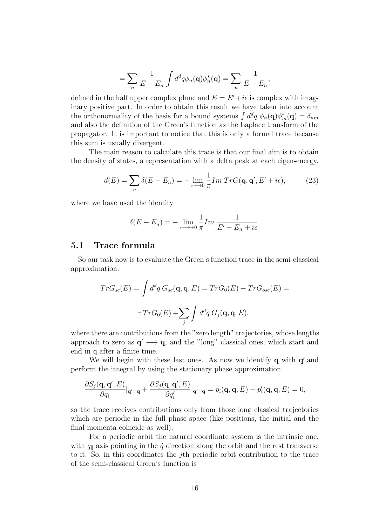$$
= \sum_n \frac{1}{E - E_n} \int d^d q \phi_n(\mathbf{q}) \phi_n^*(\mathbf{q}) = \sum_n \frac{1}{E - E_n},
$$

defined in the half upper complex plane and  $E = E' + i\epsilon$  is complex with imaginary positive part. In order to obtain this result we have taken into account the orthonormality of the basis for a bound systems  $\int d^dq \phi_n(\mathbf{q})\phi_m^*(\mathbf{q}) = \delta_{nm}$ and also the definition of the Green's function as the Laplace transform of the propagator. It is important to notice that this is only a formal trace because this sum is usually divergent.

The main reason to calculate this trace is that our final aim is to obtain the density of states, a representation with a delta peak at each eigen-energy.

$$
d(E) = \sum_{n} \delta(E - E_n) = -\lim_{\epsilon \to 0} \frac{1}{\pi} Im \ Tr G(\mathbf{q}, \mathbf{q}', E' + i\epsilon), \tag{23}
$$

where we have used the identity

$$
\delta(E - E_n) = -\lim_{\epsilon \to +0} \frac{1}{\pi} Im \frac{1}{E' - E_n + i\epsilon}.
$$

### 5.1 Trace formula

So our task now is to evaluate the Green's function trace in the semi-classical approximation.

$$
TrG_{sc}(E) = \int d^dq G_{sc}(\mathbf{q}, \mathbf{q}, E) = TrG_0(E) + TrG_{osc}(E) =
$$

$$
= TrG_0(E) + \sum_j \int d^dq G_j(\mathbf{q}, \mathbf{q}, E),
$$

where there are contributions from the "zero length" trajectories, whose lengths approach to zero as  $\mathbf{q}' \longrightarrow \mathbf{q}$ , and the "long" classical ones, which start and end in q after a finite time.

We will begin with these last ones. As now we identify  $q$  with  $q'$ , and perform the integral by using the stationary phase approximation.

$$
\frac{\partial S_j(\mathbf{q}, \mathbf{q}', E)}{\partial q_i}|_{\mathbf{q}'=\mathbf{q}} + \frac{\partial S_j(\mathbf{q}, \mathbf{q}', E)}{\partial q'_i}|_{\mathbf{q}'=\mathbf{q}} = p_i(\mathbf{q}, \mathbf{q}, E) - p'_i(\mathbf{q}, \mathbf{q}, E) = 0,
$$

so the trace receives contributions only from those long classical trajectories which are periodic in the full phase space (like positions, the initial and the final momenta coincide as well).

For a periodic orbit the natural coordinate system is the intrinsic one, with  $q_{\parallel}$  axis pointing in the  $\dot{q}$  direction along the orbit and the rest transverse to it. So, in this coordinates the jth periodic orbit contribution to the trace of the semi-classical Green's function is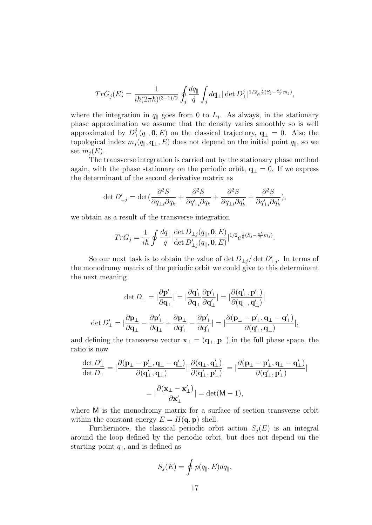$$
Tr G_j(E) = \frac{1}{i\hbar (2\pi\hbar)^{(3-1)/2}} \oint_j \frac{dq_{\parallel}}{\dot{q}} \int_j d\mathbf{q}_{\perp} |\det D^j_{\perp}|^{1/2} e^{\frac{i}{\hbar} (S_j - \frac{\hbar \pi}{2} m_j)},
$$

where the integration in  $q_{\parallel}$  goes from 0 to  $L_j$ . As always, in the stationary phase approximation we assume that the density varies smoothly so is well approximated by  $D^j$  $L^{\jmath} (q_{\parallel}, \mathbf{0}, E)$  on the classical trajectory,  $\mathbf{q}_{\perp} = 0$ . Also the topological index  $m_j(q_{\parallel}, \mathbf{q}_{\perp}, E)$  does not depend on the initial point  $q_{\parallel}$ , so we set  $m_i(E)$ .

The transverse integration is carried out by the stationary phase method again, with the phase stationary on the periodic orbit,  $\mathbf{q}_{\perp} = 0$ . If we express the determinant of the second derivative matrix as

$$
\det D'_{\perp j} = \det \left( \frac{\partial^2 S}{\partial q_{\perp i} \partial q_k} + \frac{\partial^2 S}{\partial q'_{\perp i} \partial q_k} + \frac{\partial^2 S}{\partial q_{\perp i} \partial q'_k} + \frac{\partial^2 S}{\partial q'_{\perp i} \partial q'_k} \right),
$$

we obtain as a result of the transverse integration

$$
Tr G_j = \frac{1}{i\hbar} \oint \frac{dq_{\parallel}}{\dot{q}} \Big| \frac{\det D_{\perp j}(q_{\parallel}, \mathbf{0}, E)}{\det D'_{\perp j}(q_{\parallel}, \mathbf{0}, E)} \Big|^{1/2} e^{\frac{i}{\hbar}(S_j - \frac{\pi \hbar}{2} m_j)}.
$$

So our next task is to obtain the value of det  $D_{\perp j}/\det D'_{\perp j}$ . In terms of the monodromy matrix of the periodic orbit we could give to this determinant the next meaning

$$
\begin{aligned}\det D_\perp &= |\frac{\partial \mathbf{p}'_\perp}{\partial \mathbf{q}_\perp}| = |\frac{\partial \mathbf{q}'_\perp}{\partial \mathbf{q}_\perp} \frac{\partial \mathbf{p}'_\perp}{\partial \mathbf{q}'_\perp}| = |\frac{\partial (\mathbf{q}'_\perp, \mathbf{p}'_\perp)}{\partial (\mathbf{q}_\perp, \mathbf{q}'_\perp)}| \\
\det D'_\perp &= |\frac{\partial \mathbf{p}_\perp}{\partial \mathbf{q}_\perp} - \frac{\partial \mathbf{p}'_\perp}{\partial \mathbf{q}_\perp} + \frac{\partial \mathbf{p}_\perp}{\partial \mathbf{q}'_\perp} - \frac{\partial \mathbf{p}'_\perp}{\partial \mathbf{q}'_\perp}| = |\frac{\partial (\mathbf{p}_\perp - \mathbf{p}'_\perp, \mathbf{q}_\perp - \mathbf{q}'_\perp)}{\partial (\mathbf{q}'_\perp, \mathbf{q}_\perp)}|, \end{aligned}
$$

and defining the transverse vector  $\mathbf{x}_{\perp} = (\mathbf{q}_{\perp}, \mathbf{p}_{\perp})$  in the full phase space, the ratio is now

$$
\frac{\det D'_{\perp}}{\det D_{\perp}} = |\frac{\partial (\mathbf{p}_{\perp} - \mathbf{p}'_{\perp}, \mathbf{q}_{\perp} - \mathbf{q}'_{\perp})}{\partial (\mathbf{q}'_{\perp}, \mathbf{q}_{\perp})}| |\frac{\partial (\mathbf{q}_{\perp}, \mathbf{q}'_{\perp})}{\partial (\mathbf{q}'_{\perp}, \mathbf{p}'_{\perp})}| = |\frac{\partial (\mathbf{p}_{\perp} - \mathbf{p}'_{\perp}, \mathbf{q}_{\perp} - \mathbf{q}'_{\perp})}{\partial (\mathbf{q}'_{\perp}, \mathbf{p}'_{\perp})}|
$$
  
=  $|\frac{\partial (\mathbf{x}_{\perp} - \mathbf{x}'_{\perp})}{\partial \mathbf{x}'_{\perp}}| = \det(M - 1),$ 

where M is the monodromy matrix for a surface of section transverse orbit within the constant energy  $E = H(\mathbf{q}, \mathbf{p})$  shell.

Furthermore, the classical periodic orbit action  $S_i(E)$  is an integral around the loop defined by the periodic orbit, but does not depend on the starting point  $q_{\parallel}$ , and is defined as

$$
S_j(E) = \oint p(q_{\parallel}, E) dq_{\parallel},
$$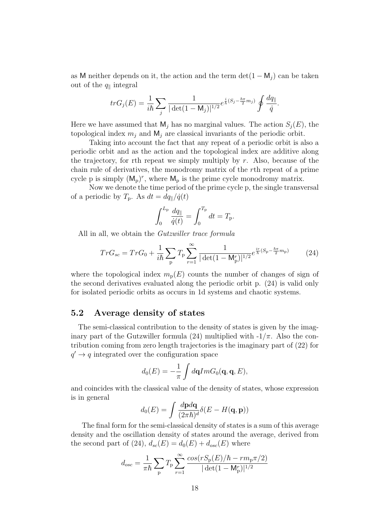as M neither depends on it, the action and the term  $\det(1 - M_i)$  can be taken out of the  $q_{\parallel}$  integral

$$
tr G_j(E) = \frac{1}{i\hbar} \sum_j \frac{1}{|\det(1 - M_j)|^{1/2}} e^{\frac{i}{\hbar}(S_j - \frac{\hbar \pi}{2} m_j)} \oint \frac{dq_{\parallel}}{\dot{q}}.
$$

Here we have assumed that  $M_j$  has no marginal values. The action  $S_j(E)$ , the topological index  $m_i$  and  $M_i$  are classical invariants of the periodic orbit.

Taking into account the fact that any repeat of a periodic orbit is also a periodic orbit and as the action and the topological index are additive along the trajectory, for rth repeat we simply multiply by  $r$ . Also, because of the chain rule of derivatives, the monodromy matrix of the rth repeat of a prime cycle p is simply  $(M_p)^r$ , where  $M_p$  is the prime cycle monodromy matrix.

Now we denote the time period of the prime cycle p, the single transversal of a periodic by  $T_p$ . As  $dt = dq_{\parallel}/\dot{q}(t)$ 

$$
\int_0^{L_{\rm p}} \frac{dq_{\parallel}}{\dot{q}(t)} = \int_0^{T_{\rm p}} dt = T_{\rm p}.
$$

All in all, we obtain the *Gutzwiller trace formula* 

$$
TrG_{sc} = TrG_0 + \frac{1}{i\hbar} \sum_{\mathbf{p}} T_{\mathbf{p}} \sum_{r=1}^{\infty} \frac{1}{|\det(1 - \mathbf{M}_{\mathbf{p}}^r)|^{1/2}} e^{\frac{ir}{\hbar}(S_{\mathbf{p}} - \frac{\hbar \pi}{2} m_{\mathbf{p}})} \tag{24}
$$

where the topological index  $m_p(E)$  counts the number of changes of sign of the second derivatives evaluated along the periodic orbit p. (24) is valid only for isolated periodic orbits as occurs in 1d systems and chaotic systems.

### 5.2 Average density of states

The semi-classical contribution to the density of states is given by the imaginary part of the Gutzwiller formula (24) multiplied with  $-1/\pi$ . Also the contribution coming from zero length trajectories is the imaginary part of (22) for  $q' \rightarrow q$  integrated over the configuration space

$$
d_0(E) = -\frac{1}{\pi} \int d\mathbf{q} Im G_0(\mathbf{q}, \mathbf{q}, E),
$$

and coincides with the classical value of the density of states, whose expression is in general

$$
d_0(E) = \int \frac{d\mathbf{p} d\mathbf{q}}{(2\pi\hbar)^d} \delta(E - H(\mathbf{q}, \mathbf{p}))
$$

The final form for the semi-classical density of states is a sum of this average density and the oscillation density of states around the average, derived from the second part of (24),  $d_{sc}(E) = d_0(E) + d_{osc}(E)$  where

$$
d_{osc} = \frac{1}{\pi \hbar} \sum_{\mathbf{p}} T_{\mathbf{p}} \sum_{r=1}^{\infty} \frac{\cos(rS_{\mathbf{p}}(E)/\hbar - rm_{\mathbf{p}}\pi/2)}{|\det(1 - M_{\mathbf{p}}^{r})|^{1/2}}
$$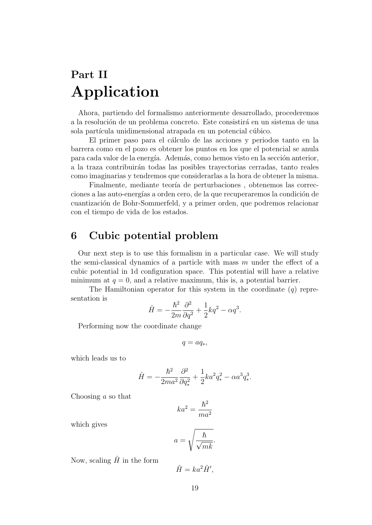## Part II Application

Ahora, partiendo del formalismo anteriormente desarrollado, procederemos a la resolución de un problema concreto. Este consistirá en un sistema de una sola partícula unidimensional atrapada en un potencial cúbico.

El primer paso para el cálculo de las acciones y periodos tanto en la barrera como en el pozo es obtener los puntos en los que el potencial se anula para cada valor de la energía. Además, como hemos visto en la sección anterior, a la traza contribuir´an todas las posibles trayectorias cerradas, tanto reales como imaginarias y tendremos que considerarlas a la hora de obtener la misma.

Finalmente, mediante teoría de perturbaciones, obtenemos las correcciones a las auto-energías a orden cero, de la que recuperaremos la condición de cuantización de Bohr-Sommerfeld, y a primer orden, que podremos relacionar con el tiempo de vida de los estados.

## 6 Cubic potential problem

Our next step is to use this formalism in a particular case. We will study the semi-classical dynamics of a particle with mass  $m$  under the effect of a cubic potential in 1d configuration space. This potential will have a relative minimum at  $q = 0$ , and a relative maximum, this is, a potential barrier.

The Hamiltonian operator for this system in the coordinate  $(q)$  representation is

$$
\label{eq:Ham} \hat{H}=-\frac{\hbar^2}{2m}\frac{\partial^2}{\partial q^2}+\frac{1}{2}kq^2-\alpha q^3.
$$

Performing now the coordinate change

$$
q = aq_*,
$$

which leads us to

$$
\label{eq:hamiltonian} \hat{H}=-\frac{\hbar^2}{2ma^2}\frac{\partial^2}{\partial q_*^2}+\frac{1}{2}ka^2q_*^2-\alpha a^3q_*^3.
$$

Choosing a so that

$$
ka^2 = \frac{\hbar^2}{ma^2}
$$

which gives

$$
a = \sqrt{\frac{\hbar}{\sqrt{mk}}}.
$$

Now, scaling  $\hat{H}$  in the form

$$
\hat{H} = ka^2 \hat{H}',
$$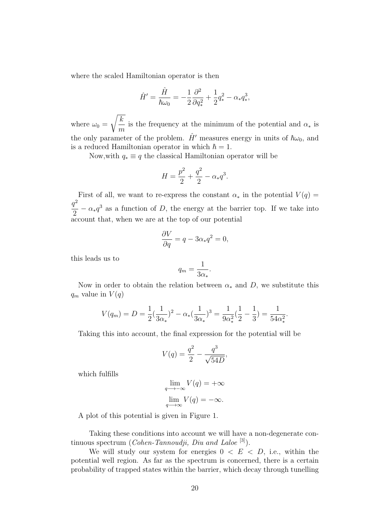where the scaled Hamiltonian operator is then

$$
\hat{H}' = \frac{\hat{H}}{\hbar \omega_0} = -\frac{1}{2} \frac{\partial^2}{\partial q_*^2} + \frac{1}{2} q_*^2 - \alpha_* q_*^3,
$$

where  $\omega_0 =$  $\sqrt{k}$  $\frac{\ldots}{m}$  is the frequency at the minimum of the potential and  $\alpha_*$  is the only parameter of the problem.  $\hat{H}'$  measures energy in units of  $\hbar\omega_0$ , and is a reduced Hamiltonian operator in which  $\hbar = 1$ .

Now, with  $q_* \equiv q$  the classical Hamiltonian operator will be

$$
H = \frac{p^2}{2} + \frac{q^2}{2} - \alpha_* q^3.
$$

First of all, we want to re-express the constant  $\alpha_*$  in the potential  $V(q)$  =  $q^2$  $\frac{d}{2} - \alpha_* q^3$  as a function of D, the energy at the barrier top. If we take into account that, when we are at the top of our potential

$$
\frac{\partial V}{\partial q} = q - 3\alpha_* q^2 = 0,
$$

this leads us to

$$
q_m = \frac{1}{3\alpha_*}
$$

.

Now in order to obtain the relation between  $\alpha_*$  and D, we substitute this  $q_m$  value in  $V(q)$ 

$$
V(q_m) = D = \frac{1}{2}(\frac{1}{3\alpha_*)^2 - \alpha_*(\frac{1}{3\alpha_*)^3} = \frac{1}{9\alpha_*^2}(\frac{1}{2} - \frac{1}{3}) = \frac{1}{54\alpha_*^2}.
$$

Taking this into account, the final expression for the potential will be

$$
V(q) = \frac{q^2}{2} - \frac{q^3}{\sqrt{54D}},
$$

which fulfills

$$
\lim_{q \to -\infty} V(q) = +\infty
$$

$$
\lim_{q \to \infty} V(q) = -\infty.
$$

A plot of this potential is given in Figure 1.

Taking these conditions into account we will have a non-degenerate continuous spectrum (*Cohen-Tannoudji*, *Diu and Laloe*  $[3]$ ).

We will study our system for energies  $0 \lt E \lt D$ , i.e., within the potential well region. As far as the spectrum is concerned, there is a certain probability of trapped states within the barrier, which decay through tunelling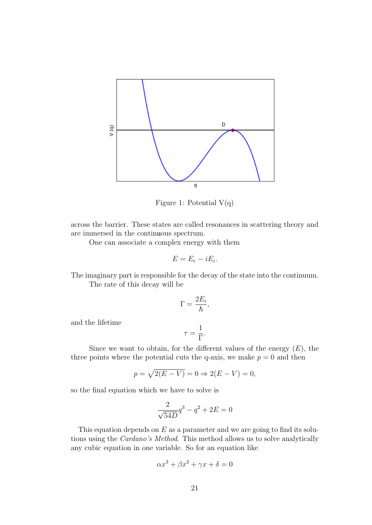

Figure 1: Potential  $V(q)$ 

across the barrier. These states are called resonances in scattering theory and are immersed in the continuous spectrum.

One can associate a complex energy with them

$$
E=E_r-iE_i.
$$

The imaginary part is responsible for the decay of the state into the continuum.

The rate of this decay will be

$$
\Gamma = \frac{2E_i}{\hbar},
$$

and the lifetime

$$
\tau = \frac{1}{\Gamma}.
$$

Since we want to obtain, for the different values of the energy  $(E)$ , the three points where the potential cuts the q-axis, we make  $p = 0$  and then

$$
p = \sqrt{2(E - V)} = 0 \Rightarrow 2(E - V) = 0,
$$

so the final equation which we have to solve is

$$
\frac{2}{\sqrt{54D}}q^3 - q^2 + 2E = 0
$$

This equation depends on  $E$  as a parameter and we are going to find its solutions using the Cardano's Method. This method allows us to solve analytically any cubic equation in one variable. So for an equation like

$$
\alpha x^3 + \beta x^2 + \gamma x + \delta = 0
$$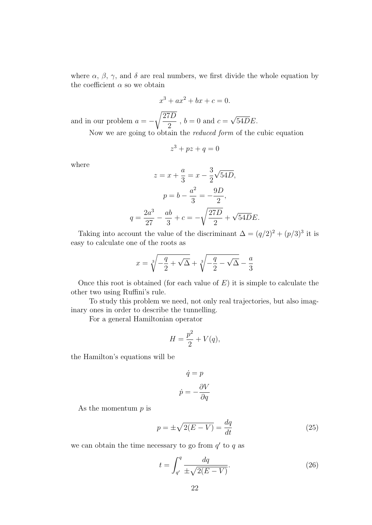where  $\alpha$ ,  $\beta$ ,  $\gamma$ , and  $\delta$  are real numbers, we first divide the whole equation by the coefficient  $\alpha$  so we obtain

$$
x^3 + ax^2 + bx + c = 0.
$$

and in our problem  $a =$ r 27D 2 ,  $b = 0$  and  $c =$ √ 54DE.

Now we are going to obtain the reduced form of the cubic equation

$$
z^3 + pz + q = 0
$$

where

$$
z = x + \frac{a}{3} = x - \frac{3}{2}\sqrt{54D},
$$

$$
p = b - \frac{a^2}{3} = -\frac{9D}{2},
$$

$$
q = \frac{2a^3}{27} - \frac{ab}{3} + c = -\sqrt{\frac{27D}{2}} + \sqrt{54DE}.
$$

Taking into account the value of the discriminant  $\Delta = (q/2)^2 + (p/3)^3$  it is easy to calculate one of the roots as

$$
x = \sqrt[3]{-\frac{q}{2} + \sqrt{\Delta}} + \sqrt[3]{-\frac{q}{2} - \sqrt{\Delta}} - \frac{a}{3}
$$

Once this root is obtained (for each value of  $E$ ) it is simple to calculate the other two using Ruffini's rule.

To study this problem we need, not only real trajectories, but also imaginary ones in order to describe the tunnelling.

For a general Hamiltonian operator

$$
H = \frac{p^2}{2} + V(q),
$$

the Hamilton's equations will be

$$
\dot{q} = p
$$

$$
\dot{p} = -\frac{\partial V}{\partial q}
$$

As the momentum  $p$  is

$$
p = \pm \sqrt{2(E - V)} = \frac{dq}{dt} \tag{25}
$$

we can obtain the time necessary to go from  $q'$  to q as

$$
t = \int_{q'}^{q} \frac{dq}{\pm \sqrt{2(E - V)}}.
$$
\n
$$
(26)
$$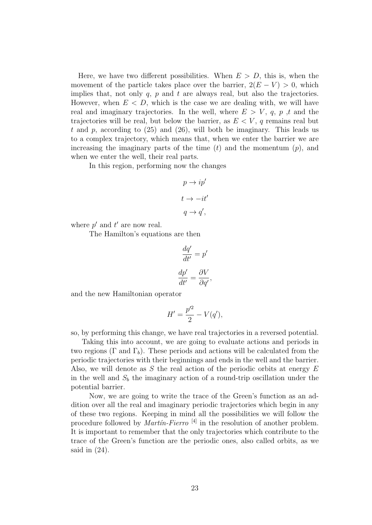Here, we have two different possibilities. When  $E > D$ , this is, when the movement of the particle takes place over the barrier,  $2(E - V) > 0$ , which implies that, not only  $q$ ,  $p$  and  $t$  are always real, but also the trajectories. However, when  $E < D$ , which is the case we are dealing with, we will have real and imaginary trajectories. In the well, where  $E > V$ , q, p, t and the trajectories will be real, but below the barrier, as  $E < V$ , q remains real but t and p, according to  $(25)$  and  $(26)$ , will both be imaginary. This leads us to a complex trajectory, which means that, when we enter the barrier we are increasing the imaginary parts of the time  $(t)$  and the momentum  $(p)$ , and when we enter the well, their real parts.

In this region, performing now the changes

$$
p \to ip'
$$
  

$$
t \to -it'
$$
  

$$
q \to q',
$$

where  $p'$  and  $t'$  are now real.

The Hamilton's equations are then

$$
\frac{dq'}{dt'} = p'
$$

$$
\frac{dp'}{dt'} = \frac{\partial V}{\partial q'}
$$

,

and the new Hamiltonian operator

$$
H'=\frac{p'^2}{2}-V(q'),
$$

so, by performing this change, we have real trajectories in a reversed potential.

Taking this into account, we are going to evaluate actions and periods in two regions (Γ and  $\Gamma_b$ ). These periods and actions will be calculated from the periodic trajectories with their beginnings and ends in the well and the barrier. Also, we will denote as S the real action of the periodic orbits at energy  $E$ in the well and  $S_b$  the imaginary action of a round-trip oscillation under the potential barrier.

Now, we are going to write the trace of the Green's function as an addition over all the real and imaginary periodic trajectories which begin in any of these two regions. Keeping in mind all the possibilities we will follow the procedure followed by *Martin-Fierro*  $^{[4]}$  in the resolution of another problem. It is important to remember that the only trajectories which contribute to the trace of the Green's function are the periodic ones, also called orbits, as we said in  $(24)$ .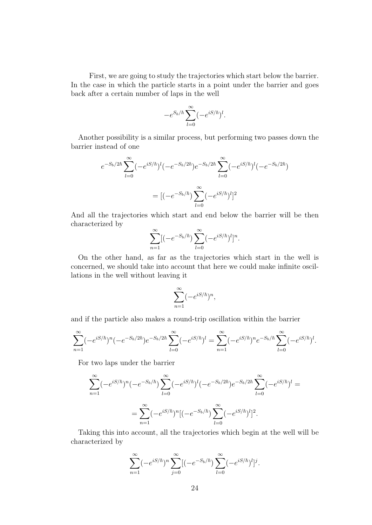First, we are going to study the trajectories which start below the barrier. In the case in which the particle starts in a point under the barrier and goes back after a certain number of laps in the well

$$
-e^{S_b/\hbar}\sum_{l=0}^{\infty}(-e^{iS/\hbar})^l.
$$

Another possibility is a similar process, but performing two passes down the barrier instead of one

$$
e^{-S_b/2\hbar} \sum_{l=0}^{\infty} (-e^{iS/\hbar})^l (-e^{-S_b/2\hbar}) e^{-S_b/2\hbar} \sum_{l=0}^{\infty} (-e^{iS/\hbar})^l (-e^{-S_b/2\hbar})
$$

$$
= [(-e^{-S_b/\hbar}) \sum_{l=0}^{\infty} (-e^{iS/\hbar})^l]^2
$$

And all the trajectories which start and end below the barrier will be then characterized by

$$
\sum_{n=1}^{\infty} [(-e^{-S_b/\hbar}) \sum_{l=0}^{\infty} (-e^{iS/\hbar})^l]^n.
$$

On the other hand, as far as the trajectories which start in the well is concerned, we should take into account that here we could make infinite oscillations in the well without leaving it

$$
\sum_{n=1}^{\infty} (-e^{iS/\hbar})^n,
$$

and if the particle also makes a round-trip oscillation within the barrier

$$
\sum_{n=1}^{\infty} (-e^{iS/\hbar})^n (-e^{-S_b/2\hbar}) e^{-S_b/2\hbar} \sum_{l=0}^{\infty} (-e^{iS/\hbar})^l = \sum_{n=1}^{\infty} (-e^{iS/\hbar})^n e^{-S_b/\hbar} \sum_{l=0}^{\infty} (-e^{iS/\hbar})^l.
$$

For two laps under the barrier

$$
\sum_{n=1}^{\infty} (-e^{iS/\hbar})^n (-e^{-S_b/\hbar}) \sum_{l=0}^{\infty} (-e^{iS/\hbar})^l (-e^{-S_b/2\hbar}) e^{-S_b/2\hbar} \sum_{l=0}^{\infty} (-e^{iS/\hbar})^l =
$$
  
= 
$$
\sum_{n=1}^{\infty} (-e^{iS/\hbar})^n [(-e^{-S_b/\hbar}) \sum_{l=0}^{\infty} (-e^{iS/\hbar})^l]^2.
$$

Taking this into account, all the trajectories which begin at the well will be characterized by

$$
\sum_{n=1}^{\infty} (-e^{iS/\hbar})^n \sum_{j=0}^{\infty} [(-e^{-S_b/\hbar}) \sum_{l=0}^{\infty} (-e^{iS/\hbar})^l]^j.
$$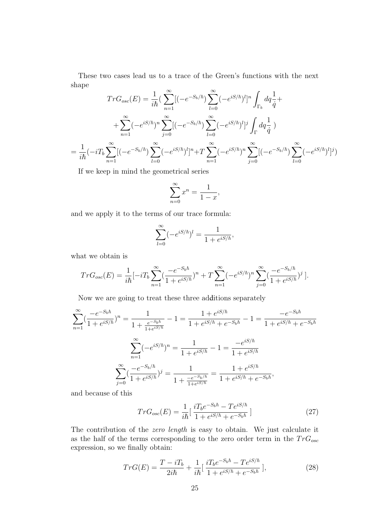These two cases lead us to a trace of the Green's functions with the next shape

$$
TrG_{osc}(E) = \frac{1}{i\hbar} \left( \sum_{n=1}^{\infty} [(-e^{-S_b/\hbar}) \sum_{l=0}^{\infty} (-e^{iS/\hbar})^l]^n \int_{\Gamma_b} dq \frac{1}{\dot{q}} + \right.
$$
  
+ 
$$
\sum_{n=1}^{\infty} (-e^{iS/\hbar})^n \sum_{j=0}^{\infty} [(-e^{-S_b/\hbar}) \sum_{l=0}^{\infty} (-e^{iS/\hbar})^l]^j \int_{\Gamma} dq \frac{1}{\dot{q}})
$$
  
= 
$$
\frac{1}{i\hbar} (-iT_b \sum_{n=1}^{\infty} [(-e^{-S_b/\hbar}) \sum_{l=0}^{\infty} (-e^{iS/\hbar})^l]^n + T \sum_{n=1}^{\infty} (-e^{iS/\hbar})^n \sum_{j=0}^{\infty} [(-e^{-S_b/\hbar}) \sum_{l=0}^{\infty} (-e^{iS/\hbar})^l]^j)
$$

If we keep in mind the geometrical series

$$
\sum_{n=0}^{\infty} x^n = \frac{1}{1-x},
$$

and we apply it to the terms of our trace formula:

$$
\sum_{l=0}^{\infty}(-e^{iS/\hbar})^l = \frac{1}{1+e^{iS/\hbar}},
$$

what we obtain is

$$
TrG_{osc}(E) = \frac{1}{i\hbar}[-iT_b\sum_{n=1}^{\infty}(\frac{-e^{-S_b\hbar}}{1+e^{iS/\hbar}})^n + T\sum_{n=1}^{\infty}(-e^{iS/\hbar})^n\sum_{j=0}^{\infty}(\frac{-e^{-S_b/\hbar}}{1+e^{iS/\hbar}})^j].
$$

Now we are going to treat these three additions separately

$$
\sum_{n=1}^{\infty} \left(\frac{-e^{-S_b\hbar}}{1+e^{iS/\hbar}}\right)^n = \frac{1}{1+\frac{e^{-S_b\hbar}}{1+e^{iS/\hbar}}} - 1 = \frac{1+e^{iS/\hbar}}{1+e^{iS/\hbar}+e^{-S_b\hbar}} - 1 = \frac{-e^{-S_b\hbar}}{1+e^{iS/\hbar}+e^{-S_b\hbar}}
$$

$$
\sum_{n=1}^{\infty} \left(-e^{iS/\hbar}\right)^n = \frac{1}{1+e^{iS/\hbar}} - 1 = \frac{-e^{iS/\hbar}}{1+e^{iS/\hbar}}
$$

$$
\sum_{j=0}^{\infty} \left(\frac{-e^{-S_b/\hbar}}{1+e^{iS/\hbar}}\right)^j = \frac{1}{1+\frac{-e^{-S_b/\hbar}}{1+e^{iS/\hbar}}} = \frac{1+e^{iS/\hbar}}{1+e^{iS/\hbar}+e^{-S_b\hbar}},
$$

and because of this

$$
TrG_{osc}(E) = \frac{1}{i\hbar} \left[ \frac{iT_b e^{-S_b \hbar} - T e^{iS/\hbar}}{1 + e^{iS/\hbar} + e^{-S_b \hbar}} \right]
$$
(27)

The contribution of the zero length is easy to obtain. We just calculate it as the half of the terms corresponding to the zero order term in the  $TrG_{osc}$ expression, so we finally obtain:

$$
TrG(E) = \frac{T - iT_b}{2i\hbar} + \frac{1}{i\hbar} \left[ \frac{iT_b e^{-S_b \hbar} - T e^{iS/\hbar}}{1 + e^{iS/\hbar} + e^{-S_b \hbar}} \right],\tag{28}
$$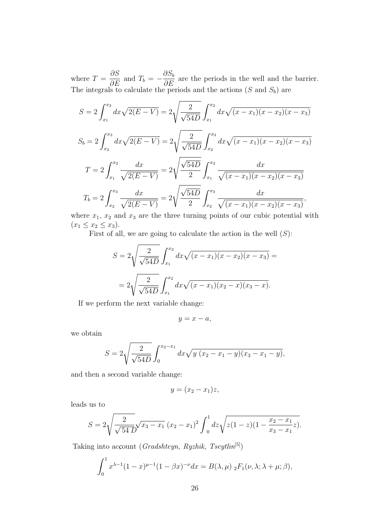where  $T =$  $\frac{\partial S}{\partial E}$  and  $T_b = -\frac{\partial S_b}{\partial E}$  $\frac{\partial E}{\partial E}$  are the periods in the well and the barrier. The integrals to calculate the periods and the actions (S and  $S_b$ ) are

$$
S = 2 \int_{x_1}^{x_2} dx \sqrt{2(E - V)} = 2 \sqrt{\frac{2}{\sqrt{54D}}} \int_{x_1}^{x_2} dx \sqrt{(x - x_1)(x - x_2)(x - x_3)}
$$
  
\n
$$
S_b = 2 \int_{x_2}^{x_3} dx \sqrt{2(E - V)} = 2 \sqrt{\frac{2}{\sqrt{54D}}} \int_{x_2}^{x_3} dx \sqrt{(x - x_1)(x - x_2)(x - x_3)}
$$
  
\n
$$
T = 2 \int_{x_1}^{x_2} \frac{dx}{\sqrt{2(E - V)}} = 2 \sqrt{\frac{\sqrt{54D}}{2}} \int_{x_1}^{x_2} \frac{dx}{\sqrt{(x - x_1)(x - x_2)(x - x_3)}}
$$
  
\n
$$
T_b = 2 \int_{x_2}^{x_3} \frac{dx}{\sqrt{2(E - V)}} = 2 \sqrt{\frac{\sqrt{54D}}{2}} \int_{x_2}^{x_3} \frac{dx}{\sqrt{(x - x_1)(x - x_2)(x - x_3)}},
$$

where  $x_1$ ,  $x_2$  and  $x_3$  are the three turning points of our cubic potential with  $(x_1 \le x_2 \le x_3).$ 

First of all, we are going to calculate the action in the well  $(S)$ :

$$
S = 2\sqrt{\frac{2}{\sqrt{54D}}} \int_{x_1}^{x_2} dx \sqrt{(x - x_1)(x - x_2)(x - x_3)} =
$$
  
= 
$$
2\sqrt{\frac{2}{\sqrt{54D}}} \int_{x_1}^{x_2} dx \sqrt{(x - x_1)(x_2 - x)(x_3 - x)}.
$$

If we perform the next variable change:

 $y = x - a$ ,

we obtain

$$
S = 2\sqrt{\frac{2}{\sqrt{54D}}} \int_0^{x_2 - x_1} dx \sqrt{y (x_2 - x_1 - y)(x_3 - x_1 - y)},
$$

and then a second variable change:

$$
y = (x_2 - x_1)z,
$$

leads us to

$$
S = 2\sqrt{\frac{2}{\sqrt{54}}\sqrt{x_3 - x_1}} (x_2 - x_1)^2 \int_0^1 dz \sqrt{z(1 - z)(1 - \frac{x_2 - x_1}{x_3 - x_1}z)}.
$$

Taking into account (Gradshteyn, Ryzhik, Tseytlin<sup>[5]</sup>)

$$
\int_0^1 x^{\lambda - 1} (1 - x)^{\mu - 1} (1 - \beta x)^{-\nu} dx = B(\lambda, \mu) \, _2F_1(\nu, \lambda; \lambda + \mu; \beta),
$$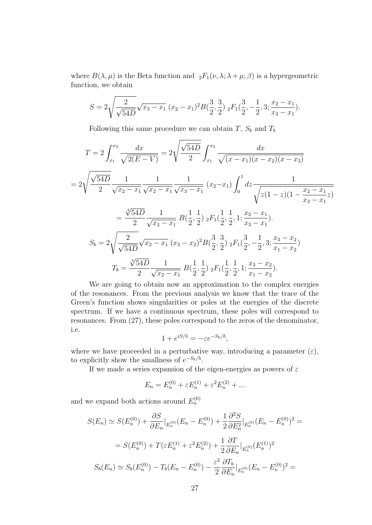where  $B(\lambda, \mu)$  is the Beta function and  ${}_2F_1(\nu, \lambda; \lambda + \mu; \beta)$  is a hypergeometric function, we obtain

$$
S = 2\sqrt{\frac{2}{\sqrt{54D}}}\sqrt{x_3 - x_1}(x_2 - x_1)^2 B(\frac{3}{2}, \frac{3}{2}) \, {}_2F_1(\frac{3}{2}, -\frac{1}{2}, 3; \frac{x_2 - x_1}{x_3 - x_1}).
$$

Following this same procedure we can obtain  $T$ ,  $S_b$  and  $T_b$ 

$$
T = 2 \int_{x_1}^{x_2} \frac{dx}{\sqrt{2(E - V)}} = 2 \sqrt{\frac{\sqrt{54D}}{2}} \int_{x_1}^{x_2} \frac{dx}{\sqrt{(x - x_1)(x - x_2)(x - x_3)}}
$$
  
\n
$$
= 2 \sqrt{\frac{\sqrt{54D}}{2}} \frac{1}{\sqrt{x_2 - x_1}} \frac{1}{\sqrt{x_2 - x_1}} \frac{1}{\sqrt{x_3 - x_1}} (x_2 - x_1) \int_0^1 dz \frac{1}{\sqrt{z(1 - z)(1 - \frac{x_2 - x_1}{x_3 - x_1}z)}}
$$
  
\n
$$
= \frac{\sqrt[4]{54D}}{2} \frac{1}{\sqrt{x_3 - x_1}} B(\frac{1}{2}, \frac{1}{2}) {}_2F_1(\frac{1}{2}, \frac{1}{2}, 1; \frac{x_2 - x_1}{x_3 - x_1}).
$$
  
\n
$$
S_b = 2 \sqrt{\frac{2}{\sqrt{54D}} \sqrt{x_2 - x_1}} (x_3 - x_2)^2 B(\frac{3}{2}, \frac{3}{2}) {}_2F_1(\frac{3}{2}, -\frac{1}{2}, 3; \frac{x_3 - x_2}{x_1 - x_2})
$$
  
\n
$$
T_b = \frac{\sqrt[4]{54D}}{2} \frac{1}{\sqrt{x_2 - x_1}} B(\frac{1}{2}, \frac{1}{2}) {}_2F_1(\frac{1}{2}, \frac{1}{2}, 1; \frac{x_3 - x_2}{x_1 - x_2}).
$$

We are going to obtain now an approximation to the complex energies of the resonances. From the previous analysis we know that the trace of the Green's function shows singularities or poles at the energies of the discrete spectrum. If we have a continuous spectrum, these poles will correspond to resonances. From (27), these poles correspond to the zeros of the denominator, i.e.

$$
1 + e^{iS/\hbar} = -\varepsilon e^{-S_b/\hbar},
$$

where we have proceeded in a perturbative way, introducing a parameter  $(\varepsilon)$ , to explicitly show the smallness of  $e^{-S_b/\hbar}$ .

If we made a series expansion of the eigen-energies as powers of  $\varepsilon$ 

$$
E_n = E_n^{(0)} + \varepsilon E_n^{(1)} + \varepsilon^2 E_n^{(2)} + \dots
$$

and we expand both actions around  $E_n^{(0)}$ 

$$
S(E_n) \simeq S(E_n^{(0)}) + \frac{\partial S}{\partial E_n}|_{E_n^{(0)}}(E_n - E_n^{(0)}) + \frac{1}{2} \frac{\partial^2 S}{\partial E_n^2}|_{E_n^{(0)}}(E_n - E_n^{(0)})^2 =
$$
  

$$
= S(E_n^{(0)}) + T(\varepsilon E_n^{(1)} + \varepsilon^2 E_n^{(2)}) + \frac{1}{2} \frac{\partial T}{\partial E_n}|_{E_n^{(0)}}(E_n^{(1)})^2
$$
  

$$
S_b(E_n) \simeq S_b(E_n^{(0)}) - T_b(E_n - E_n^{(0)}) - \frac{\varepsilon^2}{2} \frac{\partial T_b}{\partial E_n}|_{E_n^{(0)}}(E_n - E_n^{(0)})^2 =
$$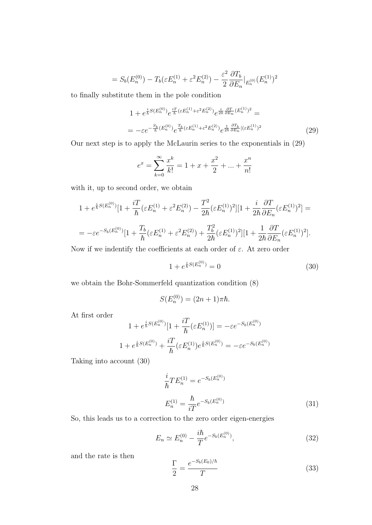$$
= S_b(E_n^{(0)}) - T_b(\varepsilon E_n^{(1)} + \varepsilon^2 E_n^{(2)}) - \frac{\varepsilon^2}{2} \frac{\partial T_b}{\partial E_n} |_{E_n^{(0)}} (E_n^{(1)})^2
$$

to finally substitute them in the pole condition

$$
1 + e^{\frac{i}{\hbar}S(E_n^{(0)})} e^{\frac{iT}{\hbar}(\varepsilon E_n^{(1)} + \varepsilon^2 E_n^{(2)})} e^{\frac{i}{2\hbar} \frac{\partial T}{\partial E_n}(E_n^{(1)})^2} =
$$
  
= 
$$
-\varepsilon e^{-\frac{S_b}{\hbar}(E_n^{(0)})} e^{\frac{T_b}{\hbar}(\varepsilon E_n^{(1)} + \varepsilon^2 E_n^{(2)})} e^{\frac{1}{2\hbar} \frac{\partial T_b}{\partial E_n} |(\varepsilon E_n^{(1)})^2}
$$
(29)

Our next step is to apply the McLaurin series to the exponentials in (29)

$$
e^x = \sum_{k=0}^{\infty} \frac{x^k}{k!} = 1 + x + \frac{x^2}{2} + \ldots + \frac{x^n}{n!}
$$

with it, up to second order, we obtain

$$
1 + e^{\frac{i}{\hbar}S(E_n^{(0)})}[1 + \frac{i}{\hbar}(\varepsilon E_n^{(1)} + \varepsilon^2 E_n^{(2)}) - \frac{T^2}{2\hbar}(\varepsilon E_n^{(1)})^2][1 + \frac{i}{2\hbar}\frac{\partial T}{\partial E_n}(\varepsilon E_n^{(1)})^2] =
$$
  
= 
$$
-\varepsilon e^{-S_b(E_n^{(0)})}[1 + \frac{T_b}{\hbar}(\varepsilon E_n^{(1)} + \varepsilon^2 E_n^{(2)}) + \frac{T_b^2}{2\hbar}(\varepsilon E_n^{(1)})^2][1 + \frac{1}{2\hbar}\frac{\partial T}{\partial E_n}(\varepsilon E_n^{(1)})^2].
$$

Now if we indentify the coefficients at each order of  $\varepsilon$ . At zero order

$$
1 + e^{\frac{i}{\hbar}S(E_n^{(0)})} = 0 \tag{30}
$$

we obtain the Bohr-Sommerfeld quantization condition (8)

$$
S(E_n^{(0)}) = (2n+1)\pi\hbar.
$$

At first order

$$
1 + e^{\frac{i}{\hbar}S(E_n^{(0)})}[1 + \frac{i}{\hbar}(\varepsilon E_n^{(1)})] = -\varepsilon e^{-S_b(E_n^{(0)})}
$$

$$
1 + e^{\frac{i}{\hbar}S(E_n^{(0)})} + \frac{i}{\hbar}(\varepsilon E_n^{(1)})e^{\frac{i}{\hbar}S(E_n^{(0)})} = -\varepsilon e^{-S_b(E_n^{(0)})}
$$

Taking into account (30)

$$
\frac{i}{\hbar}TE_n^{(1)} = e^{-S_b(E_n^{(0)})}
$$
\n
$$
E_n^{(1)} = \frac{\hbar}{iT}e^{-S_b(E_n^{(0)})}
$$
\n(31)

So, this leads us to a correction to the zero order eigen-energies

$$
E_n \simeq E_n^{(0)} - \frac{i\hbar}{T} e^{-S_b(E_n^{(0)})},\tag{32}
$$

and the rate is then

$$
\frac{\Gamma}{2} = \frac{e^{-S_b(E_0)/\hbar}}{T}
$$
\n(33)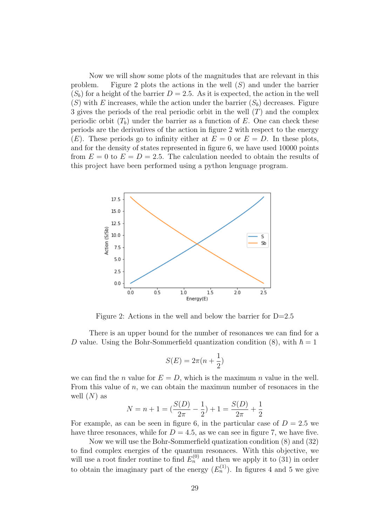Now we will show some plots of the magnitudes that are relevant in this problem. Figure 2 plots the actions in the well  $(S)$  and under the barrier  $(S_h)$  for a height of the barrier  $D = 2.5$ . As it is expected, the action in the well  $(S)$  with E increases, while the action under the barrier  $(S_b)$  decreases. Figure 3 gives the periods of the real periodic orbit in the well  $(T)$  and the complex periodic orbit  $(T_b)$  under the barrier as a function of E. One can check these periods are the derivatives of the action in figure 2 with respect to the energy  $(E)$ . These periods go to infinity either at  $E = 0$  or  $E = D$ . In these plots, and for the density of states represented in figure 6, we have used 10000 points from  $E = 0$  to  $E = D = 2.5$ . The calculation needed to obtain the results of this project have been performed using a python lenguage program.



Figure 2: Actions in the well and below the barrier for D=2.5

There is an upper bound for the number of resonances we can find for a D value. Using the Bohr-Sommerfield quantization condition (8), with  $\hbar = 1$ 

$$
S(E) = 2\pi (n + \frac{1}{2})
$$

we can find the *n* value for  $E = D$ , which is the maximum *n* value in the well. From this value of  $n$ , we can obtain the maximun number of resonaces in the well  $(N)$  as

$$
N = n + 1 = \left(\frac{S(D)}{2\pi} - \frac{1}{2}\right) + 1 = \frac{S(D)}{2\pi} + \frac{1}{2}
$$

For example, as can be seen in figure 6, in the particular case of  $D = 2.5$  we have three resonaces, while for  $D = 4.5$ , as we can see in figure 7, we have five.

Now we will use the Bohr-Sommerfield quatization condition (8) and (32) to find complex energies of the quantum resonaces. With this objective, we will use a root finder routine to find  $E_n^{(0)}$  and then we apply it to (31) in order to obtain the imaginary part of the energy  $(E_n^{(1)})$ . In figures 4 and 5 we give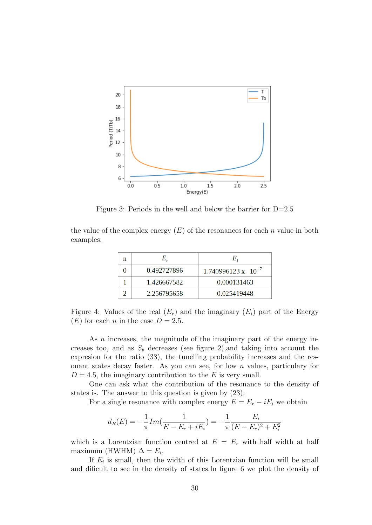

Figure 3: Periods in the well and below the barrier for D=2.5

the value of the complex energy  $(E)$  of the resonances for each n value in both examples.

| n |             |                              |
|---|-------------|------------------------------|
|   | 0.492727896 | $1.740996123 \times 10^{-7}$ |
|   | 1.426667582 | 0.000131463                  |
|   | 2.256795658 | 0.025419448                  |

Figure 4: Values of the real  $(E_r)$  and the imaginary  $(E_i)$  part of the Energy  $(E)$  for each *n* in the case  $D = 2.5$ .

As *n* increases, the magnitude of the imaginary part of the energy increases too, and as  $S_b$  decreases (see figure 2), and taking into account the expresion for the ratio (33), the tunelling probability increases and the resonant states decay faster. As you can see, for low n values, particulary for  $D = 4.5$ , the imaginary contribution to the E is very small.

One can ask what the contribution of the resonance to the density of states is. The answer to this question is given by (23).

For a single resonance with complex energy  $E = E_r - iE_i$  we obtain

$$
d_R(E) = -\frac{1}{\pi} Im(\frac{1}{E - E_r + iE_i}) = -\frac{1}{\pi} \frac{E_i}{(E - E_r)^2 + E_i^2}
$$

which is a Lorentzian function centred at  $E = E_r$  with half width at half maximum (HWHM)  $\Delta = E_i$ .

If  $E_i$  is small, then the width of this Lorentzian function will be small and dificult to see in the density of states.In figure 6 we plot the density of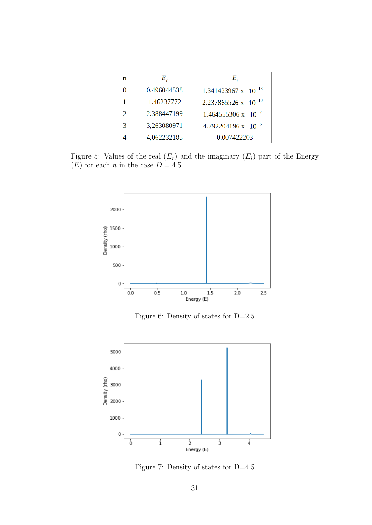| n             | E,          | Е,                            |
|---------------|-------------|-------------------------------|
|               | 0.496044538 | $1.341423967 \times 10^{-13}$ |
|               | 1.46237772  | $2.237865526 \times 10^{-10}$ |
| $\mathcal{D}$ | 2.388447199 | $1.464555306 \times 10^{-7}$  |
| З             | 3,263080971 | $4.792204196 \times 10^{-5}$  |
|               | 4,062232185 | 0.007422203                   |

Figure 5: Values of the real  $(E_r)$  and the imaginary  $(E_i)$  part of the Energy (*E*) for each *n* in the case  $D = 4.5$ .



Figure 6: Density of states for D=2.5



Figure 7: Density of states for D=4.5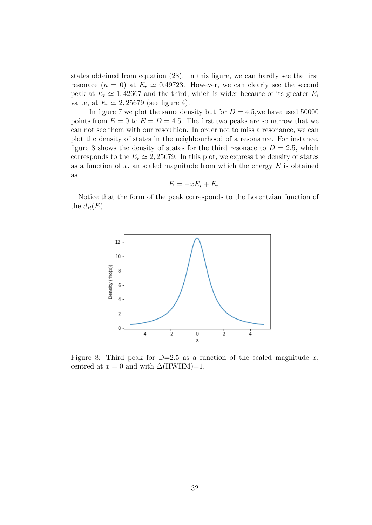states obteined from equation (28). In this figure, we can hardly see the first resonace  $(n = 0)$  at  $E_r \simeq 0.49723$ . However, we can clearly see the second peak at  $E_r \simeq 1,42667$  and the third, which is wider because of its greater  $E_i$ value, at  $E_r \simeq 2,25679$  (see figure 4).

In figure 7 we plot the same density but for  $D = 4.5$ , we have used 50000 points from  $E = 0$  to  $E = D = 4.5$ . The first two peaks are so narrow that we can not see them with our resoultion. In order not to miss a resonance, we can plot the density of states in the neighbourhood of a resonance. For instance, figure 8 shows the density of states for the third resonace to  $D = 2.5$ , which corresponds to the  $E_r \simeq 2,25679$ . In this plot, we express the density of states as a function of  $x$ , an scaled magnitude from which the energy  $E$  is obtained as

$$
E = -xE_i + E_r.
$$

Notice that the form of the peak corresponds to the Lorentzian function of the  $d_R(E)$ 



Figure 8: Third peak for  $D=2.5$  as a function of the scaled magnitude x, centred at  $x = 0$  and with  $\Delta$ (HWHM)=1.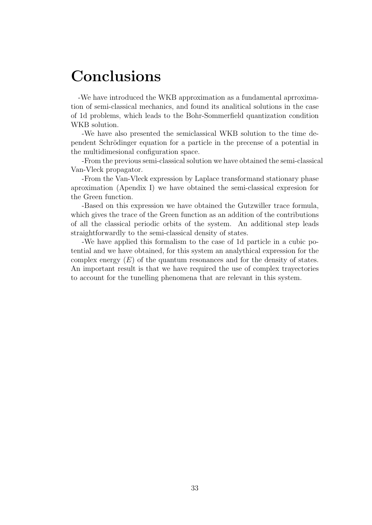## Conclusions

-We have introduced the WKB approximation as a fundamental aprroximation of semi-classical mechanics, and found its analitical solutions in the case of 1d problems, which leads to the Bohr-Sommerfield quantization condition WKB solution.

-We have also presented the semiclassical WKB solution to the time dependent Schrödinger equation for a particle in the precense of a potential in the multidimesional configuration space.

-From the previous semi-classical solution we have obtained the semi-classical Van-Vleck propagator.

-From the Van-Vleck expression by Laplace transformand stationary phase aproximation (Apendix I) we have obtained the semi-classical expresion for the Green function.

-Based on this expression we have obtained the Gutzwiller trace formula, which gives the trace of the Green function as an addition of the contributions of all the classical periodic orbits of the system. An additional step leads straightforwardly to the semi-classical density of states.

-We have applied this formalism to the case of 1d particle in a cubic potential and we have obtained, for this system an analythical expression for the complex energy  $(E)$  of the quantum resonances and for the density of states. An important result is that we have required the use of complex trayectories to account for the tunelling phenomena that are relevant in this system.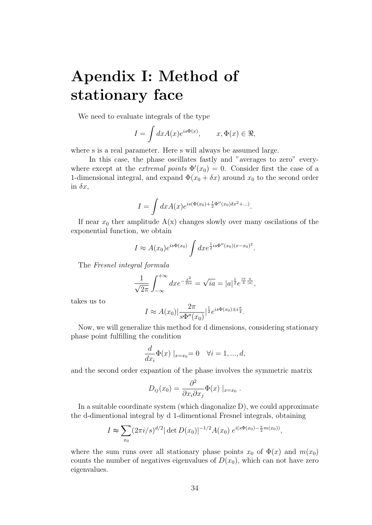# Apendix I: Method of stationary face

We need to evaluate integrals of the type

$$
I = \int dx A(x)e^{is\Phi(x)}, \qquad x, \Phi(x) \in \Re,
$$

where s is a real parameter. Here s will always be assumed large.

In this case, the phase oscillates fastly and "averages to zero" everywhere except at the *extremal points*  $\Phi'(x_0) = 0$ . Consider first the case of a 1-dimensional integral, and expand  $\Phi(x_0 + \delta x)$  around  $x_0$  to the second order in  $\delta x$ ,

$$
I = \int dx A(x) e^{is(\Phi(x_0) + \frac{1}{2}\Phi''(x_0)\delta x^2 + \dots)}.
$$

If near  $x_0$  ther amplitude  $A(x)$  changes slowly over many oscilations of the exponential function, we obtain

$$
I \approx A(x_0)e^{is\Phi(x_0)}\int dx e^{\frac{1}{2}is\Phi''(x_0)(x-x_0)^2}.
$$

The Fresnel integral formula

$$
\frac{1}{\sqrt{2\pi}} \int_{-\infty}^{+\infty} dx e^{-\frac{x^2}{2ia}} = \sqrt{ia} = |a|^{\frac{1}{2}} e^{\frac{i\pi}{4} \frac{a}{|a|}},
$$

takes us to

$$
I \approx A(x_0) |\frac{2\pi}{s\Phi''(x_0)}|^{\frac{1}{2}} e^{is\Phi(x_0)\pm i\frac{\pi}{4}}.
$$

Now, we will generalize this method for d dimensions, considering stationary phase point fulfilling the condition

$$
\frac{d}{dx_i}\Phi(x) \mid_{x=x_0} = 0 \quad \forall i = 1, ..., d,
$$

and the second order expantion of the phase involves the symmetric matrix

$$
D_{ij}(x_0) = \frac{\partial^2}{\partial x_i \partial x_j} \Phi(x) \mid_{x=x_0}.
$$

In a suitable coordinate system (which diagonalize D), we could approximate the d-dimentional integral by d 1-dimentional Fresnel integrals, obtaining

$$
I \approx \sum_{x_0} (2\pi i/s)^{d/2} |\det D(x_0)|^{-1/2} A(x_0) e^{i(s\Phi(x_0) - \frac{\pi}{2}m(x_0))},
$$

where the sum runs over all stationary phase points  $x_0$  of  $\Phi(x)$  and  $m(x_0)$ counts the number of negatives eigenvalues of  $D(x_0)$ , which can not have zero eigenvalues.